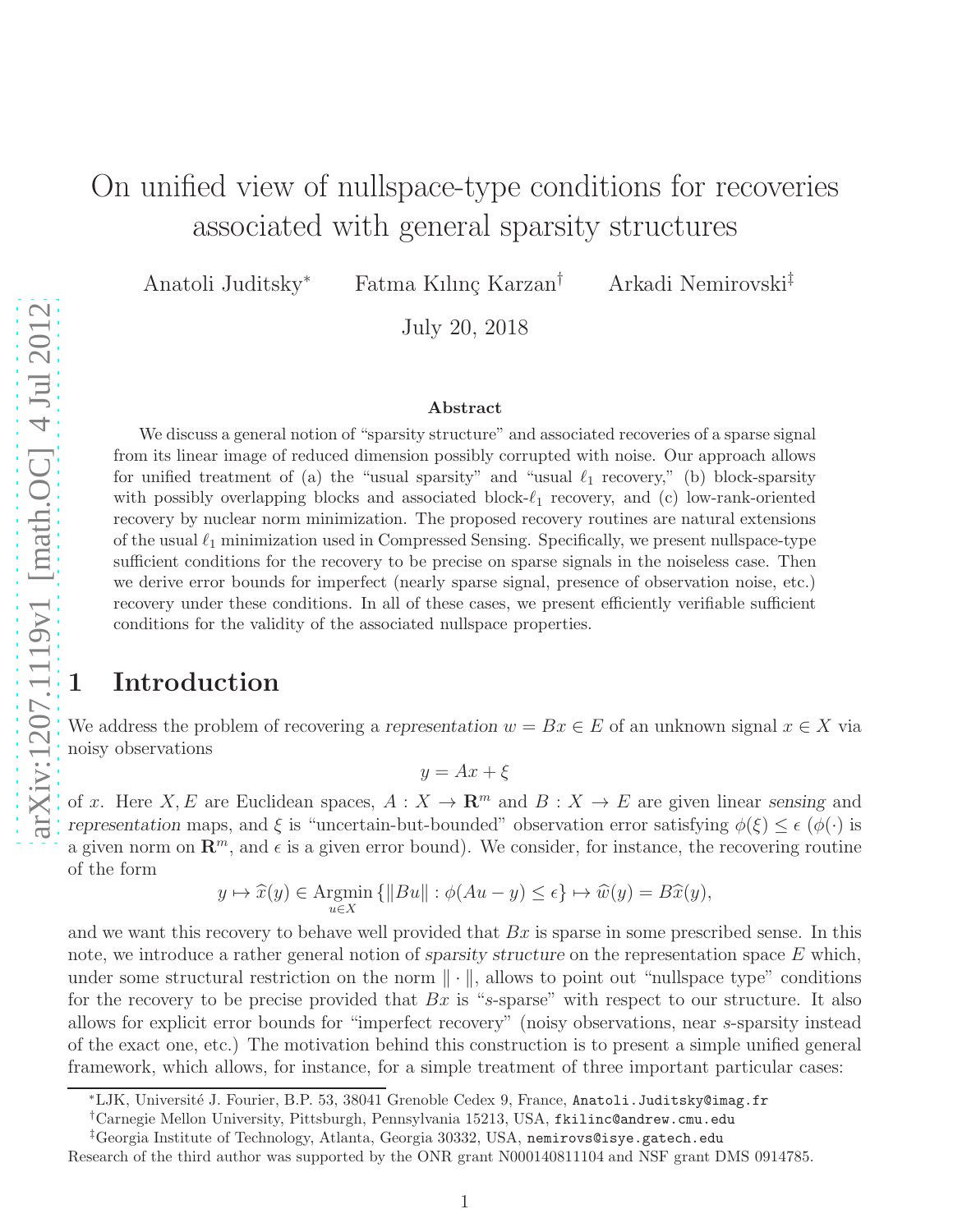# On unified view of nullspace-type conditions for recoveries associated with general sparsity structures

Anatoli Juditsky<sup>∗</sup> Fatma Kılınç Karzan<sup>†</sup> Arkadi Nemirovski<sup>‡</sup>

July 20, 2018

#### Abstract

We discuss a general notion of "sparsity structure" and associated recoveries of a sparse signal from its linear image of reduced dimension possibly corrupted with noise. Our approach allows for unified treatment of (a) the "usual sparsity" and "usual  $\ell_1$  recovery," (b) block-sparsity with possibly overlapping blocks and associated block- $\ell_1$  recovery, and (c) low-rank-oriented recovery by nuclear norm minimization. The proposed recovery routines are natural extensions of the usual  $\ell_1$  minimization used in Compressed Sensing. Specifically, we present nullspace-type sufficient conditions for the recovery to be precise on sparse signals in the noiseless case. Then we derive error bounds for imperfect (nearly sparse signal, presence of observation noise, etc.) recovery under these conditions. In all of these cases, we present efficiently verifiable sufficient conditions for the validity of the associated nullspace properties.

# 1 Introduction

We address the problem of recovering a *representation*  $w = Bx \in E$  of an unknown signal  $x \in X$  via noisy observations

 $y = Ax + \xi$ 

of x. Here X, E are Euclidean spaces,  $A: X \to \mathbb{R}^m$  and  $B: X \to E$  are given linear *sensing* and *representation* maps, and  $\xi$  is "uncertain-but-bounded" observation error satisfying  $\phi(\xi) \leq \epsilon$  ( $\phi(\cdot)$ ) is a given norm on  $\mathbb{R}^m$ , and  $\epsilon$  is a given error bound). We consider, for instance, the recovering routine of the form

$$
y \mapsto \widehat{x}(y) \in \operatorname*{Argmin}_{u \in X} \{ ||Bu|| : \phi(Au - y) \le \epsilon \} \mapsto \widehat{w}(y) = B\widehat{x}(y),
$$

and we want this recovery to behave well provided that  $Bx$  is sparse in some prescribed sense. In this note, we introduce a rather general notion of *sparsity structure* on the representation space E which, under some structural restriction on the norm  $\|\cdot\|$ , allows to point out "nullspace type" conditions for the recovery to be precise provided that  $Bx$  is "s-sparse" with respect to our structure. It also allows for explicit error bounds for "imperfect recovery" (noisy observations, near s-sparsity instead of the exact one, etc.) The motivation behind this construction is to present a simple unified general framework, which allows, for instance, for a simple treatment of three important particular cases:

<sup>∗</sup>LJK, Universit´e J. Fourier, B.P. 53, 38041 Grenoble Cedex 9, France, Anatoli.Juditsky@imag.fr

<sup>†</sup>Carnegie Mellon University, Pittsburgh, Pennsylvania 15213, USA, fkilinc@andrew.cmu.edu

<sup>‡</sup>Georgia Institute of Technology, Atlanta, Georgia 30332, USA, nemirovs@isye.gatech.edu

Research of the third author was supported by the ONR grant N000140811104 and NSF grant DMS 0914785.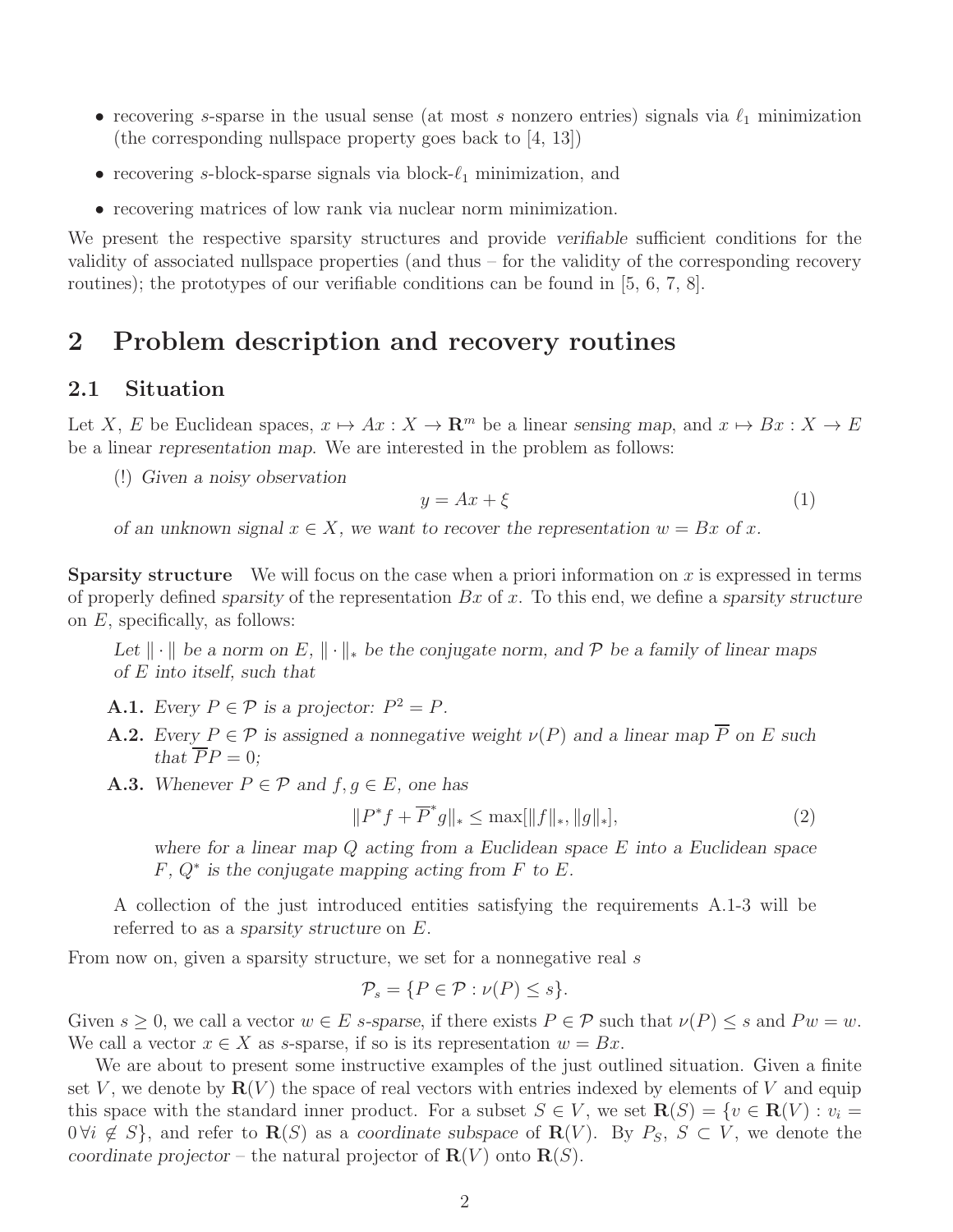- recovering s-sparse in the usual sense (at most s nonzero entries) signals via  $\ell_1$  minimization (the corresponding nullspace property goes back to [4, 13])
- recovering s-block-sparse signals via block- $\ell_1$  minimization, and
- recovering matrices of low rank via nuclear norm minimization.

We present the respective sparsity structures and provide *verifiable* sufficient conditions for the validity of associated nullspace properties (and thus – for the validity of the corresponding recovery routines); the prototypes of our verifiable conditions can be found in [5, 6, 7, 8].

# 2 Problem description and recovery routines

### 2.1 Situation

Let X, E be Euclidean spaces,  $x \mapsto Ax : X \to \mathbb{R}^m$  be a linear sensing map, and  $x \mapsto Bx : X \to E$ be a linear *representation map*. We are interested in the problem as follows:

(!) *Given a noisy observation*

$$
y = Ax + \xi \tag{1}
$$

*of an unknown signal*  $x \in X$ *, we want to recover the representation*  $w = Bx$  *of* x.

**Sparsity structure** We will focus on the case when a priori information on x is expressed in terms of properly defined *sparsity* of the representation Bx of x. To this end, we define a *sparsity structure* on  $E$ , specifically, as follows:

*Let*  $\|\cdot\|$  *be a norm on* E,  $\|\cdot\|_*$  *be the conjugate norm, and* P *be a family of linear maps of* E *into itself, such that*

- A.1. *Every*  $P \in \mathcal{P}$  *is a projector:*  $P^2 = P$ *.*
- **A.2.** *Every*  $P \in \mathcal{P}$  *is assigned a nonnegative weight*  $\nu(P)$  *and a linear map*  $\overline{P}$  *on E such that*  $\overline{P}P = 0$ *;*
- A.3. *Whenever*  $P \in \mathcal{P}$  *and*  $f, g \in E$ *, one has*

$$
||P^*f + \overline{P}^*g||_* \le \max[||f||_*, ||g||_*],\tag{2}
$$

*where for a linear map* Q *acting from a Euclidean space* E *into a Euclidean space* F*,* Q<sup>∗</sup> *is the conjugate mapping acting from* F *to* E*.*

A collection of the just introduced entities satisfying the requirements A.1-3 will be referred to as a *sparsity structure* on E.

From now on, given a sparsity structure, we set for a nonnegative real s

$$
\mathcal{P}_s = \{ P \in \mathcal{P} : \nu(P) \le s \}.
$$

Given  $s \geq 0$ , we call a vector  $w \in E$  s-sparse, if there exists  $P \in \mathcal{P}$  such that  $\nu(P) \leq s$  and  $P w = w$ . We call a vector  $x \in X$  as s-sparse, if so is its representation  $w = Bx$ .

We are about to present some instructive examples of the just outlined situation. Given a finite set V, we denote by  $\mathbf{R}(V)$  the space of real vectors with entries indexed by elements of V and equip this space with the standard inner product. For a subset  $S \in V$ , we set  $\mathbf{R}(S) = \{v \in \mathbf{R}(V) : v_i =$  $0 \forall i \notin S$ , and refer to  $\mathbf{R}(S)$  as a *coordinate subspace* of  $\mathbf{R}(V)$ . By  $P_S$ ,  $S \subset V$ , we denote the *coordinate projector* – the natural projector of  $\mathbf{R}(V)$  onto  $\mathbf{R}(S)$ .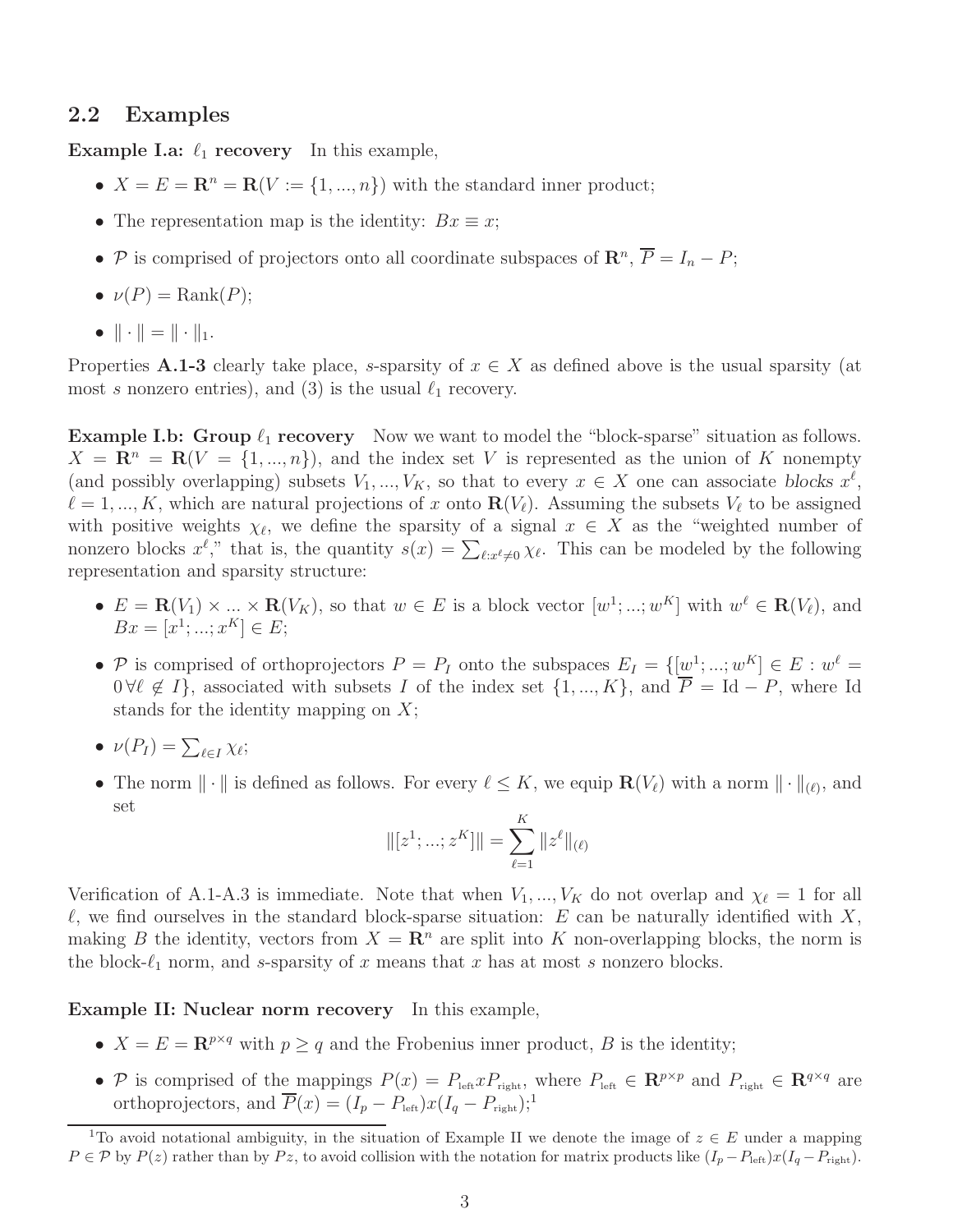## 2.2 Examples

**Example I.a:**  $\ell_1$  **recovery** In this example,

- $X = E = \mathbb{R}^n = \mathbb{R}(V := \{1, ..., n\})$  with the standard inner product;
- The representation map is the identity:  $Bx \equiv x$ ;
- P is comprised of projectors onto all coordinate subspaces of  $\mathbb{R}^n$ ,  $\overline{P} = I_n P$ ;
- $\nu(P) = \text{Rank}(P)$ ;
- $\|\cdot\| = \|\cdot\|_1.$

Properties A.1-3 clearly take place, s-sparsity of  $x \in X$  as defined above is the usual sparsity (at most s nonzero entries), and (3) is the usual  $\ell_1$  recovery.

**Example I.b: Group**  $\ell_1$  **recovery** Now we want to model the "block-sparse" situation as follows.  $X = \mathbb{R}^n = \mathbb{R}(V = \{1, ..., n\})$ , and the index set V is represented as the union of K nonempty (and possibly overlapping) subsets  $V_1, ..., V_K$ , so that to every  $x \in X$  one can associate *blocks*  $x^{\ell}$ ,  $\ell = 1, ..., K$ , which are natural projections of x onto  $\mathbf{R}(V_{\ell})$ . Assuming the subsets  $V_{\ell}$  to be assigned with positive weights  $\chi_{\ell}$ , we define the sparsity of a signal  $x \in X$  as the "weighted number of nonzero blocks  $x^{\ell}$ ," that is, the quantity  $s(x) = \sum_{\ell: x^{\ell} \neq 0} \chi_{\ell}$ . This can be modeled by the following representation and sparsity structure:

- $E = \mathbf{R}(V_1) \times \ldots \times \mathbf{R}(V_K)$ , so that  $w \in E$  is a block vector  $[w^1; \ldots; w^K]$  with  $w^{\ell} \in \mathbf{R}(V_{\ell})$ , and  $Bx = [x^1; ...; x^K] \in E;$
- P is comprised of orthoprojectors  $P = P_I$  onto the subspaces  $E_I = \{[\underline{w}^1; ...; w^K] \in E : w^{\ell} = \}$  $0 \forall \ell \notin I$ , associated with subsets I of the index set  $\{1, ..., K\}$ , and  $\overline{P} = \text{Id} - P$ , where Id stands for the identity mapping on  $X$ ;
- $\nu(P_I) = \sum_{\ell \in I} \chi_{\ell};$
- The norm  $\|\cdot\|$  is defined as follows. For every  $\ell \leq K$ , we equip  $\mathbf{R}(V_{\ell})$  with a norm  $\|\cdot\|_{(\ell)}$ , and set

$$
\|[z^1; \dots; z^K]\| = \sum_{\ell=1}^K \|z^{\ell}\|_{(\ell)}
$$

Verification of A.1-A.3 is immediate. Note that when  $V_1, ..., V_K$  do not overlap and  $\chi_{\ell} = 1$  for all  $\ell$ , we find ourselves in the standard block-sparse situation: E can be naturally identified with X, making B the identity, vectors from  $X = \mathbb{R}^n$  are split into K non-overlapping blocks, the norm is the block- $\ell_1$  norm, and s-sparsity of x means that x has at most s nonzero blocks.

Example II: Nuclear norm recovery In this example,

- $X = E = \mathbb{R}^{p \times q}$  with  $p \geq q$  and the Frobenius inner product, B is the identity;
- P is comprised of the mappings  $P(x) = P_{\text{left}} x P_{\text{right}}$ , where  $P_{\text{left}} \in \mathbb{R}^{p \times p}$  and  $P_{\text{right}} \in \mathbb{R}^{q \times q}$  are orthoprojectors, and  $\overline{P}(x) = (I_p - P_{\text{left}}) x (I_q - P_{\text{right}});$

<sup>&</sup>lt;sup>1</sup>To avoid notational ambiguity, in the situation of Example II we denote the image of  $z \in E$  under a mapping  $P \in \mathcal{P}$  by  $P(z)$  rather than by  $Pz$ , to avoid collision with the notation for matrix products like  $(I_p - P_{\text{left}})x(I_q - P_{\text{right}})$ .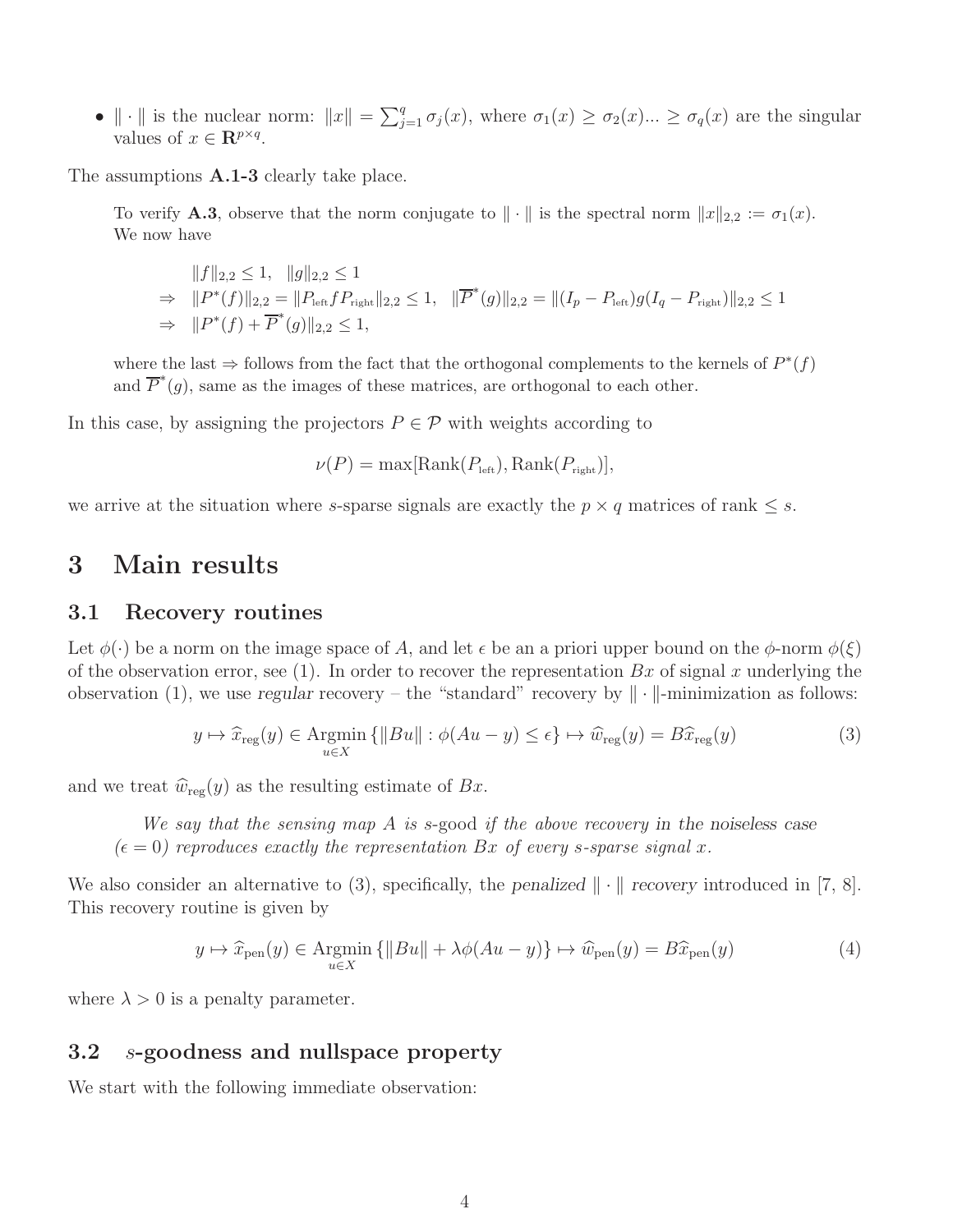•  $\|\cdot\|$  is the nuclear norm:  $\|x\| = \sum_{j=1}^q \sigma_j(x)$ , where  $\sigma_1(x) \geq \sigma_2(x) ... \geq \sigma_q(x)$  are the singular values of  $x \in \mathbb{R}^{p \times q}$ .

The assumptions **A.1-3** clearly take place.

To verify **A.3**, observe that the norm conjugate to  $\|\cdot\|$  is the spectral norm  $\|x\|_{2,2} := \sigma_1(x)$ . We now have

$$
||f||_{2,2} \le 1, \quad ||g||_{2,2} \le 1
$$
  
\n
$$
\Rightarrow ||P^*(f)||_{2,2} = ||P_{\text{left}}fP_{\text{right}}||_{2,2} \le 1, \quad ||\overline{P}^*(g)||_{2,2} = ||(I_p - P_{\text{left}})g(I_q - P_{\text{right}})||_{2,2} \le 1
$$
  
\n
$$
\Rightarrow ||P^*(f) + \overline{P}^*(g)||_{2,2} \le 1,
$$

where the last  $\Rightarrow$  follows from the fact that the orthogonal complements to the kernels of  $P^*(f)$ and  $\overline{P}^*(g)$ , same as the images of these matrices, are orthogonal to each other.

In this case, by assigning the projectors  $P \in \mathcal{P}$  with weights according to

 $\nu(P) = \max[\text{Rank}(P_{\text{left}}), \text{Rank}(P_{\text{right}})],$ 

we arrive at the situation where s-sparse signals are exactly the  $p \times q$  matrices of rank  $\leq s$ .

# 3 Main results

#### 3.1 Recovery routines

Let  $\phi(\cdot)$  be a norm on the image space of A, and let  $\epsilon$  be an a priori upper bound on the  $\phi$ -norm  $\phi(\xi)$ of the observation error, see (1). In order to recover the representation  $Bx$  of signal x underlying the observation (1), we use *regular* recovery – the "standard" recovery by  $\|\cdot\|$ -minimization as follows:

$$
y \mapsto \hat{x}_{\text{reg}}(y) \in \text{Argmin}_{u \in X} \{ \|Bu\| : \phi(Au - y) \le \epsilon \} \mapsto \hat{w}_{\text{reg}}(y) = B\hat{x}_{\text{reg}}(y) \tag{3}
$$

and we treat  $\widehat{w}_{reg}(y)$  as the resulting estimate of Bx.

We say that the sensing map A is s-good if the above recovery *in the noiseless case*  $(\epsilon = 0)$  reproduces exactly the representation Bx of every s-sparse signal x.

We also consider an alternative to (3), specifically, the *penalized*  $\|\cdot\|$  *recovery* introduced in [7, 8]. This recovery routine is given by

$$
y \mapsto \hat{x}_{pen}(y) \in \operatorname{Argmin}_{u \in X} \{ \|Bu\| + \lambda \phi(Au - y) \} \mapsto \hat{w}_{pen}(y) = B\hat{x}_{pen}(y)
$$
(4)

where  $\lambda > 0$  is a penalty parameter.

### 3.2 s-goodness and nullspace property

We start with the following immediate observation: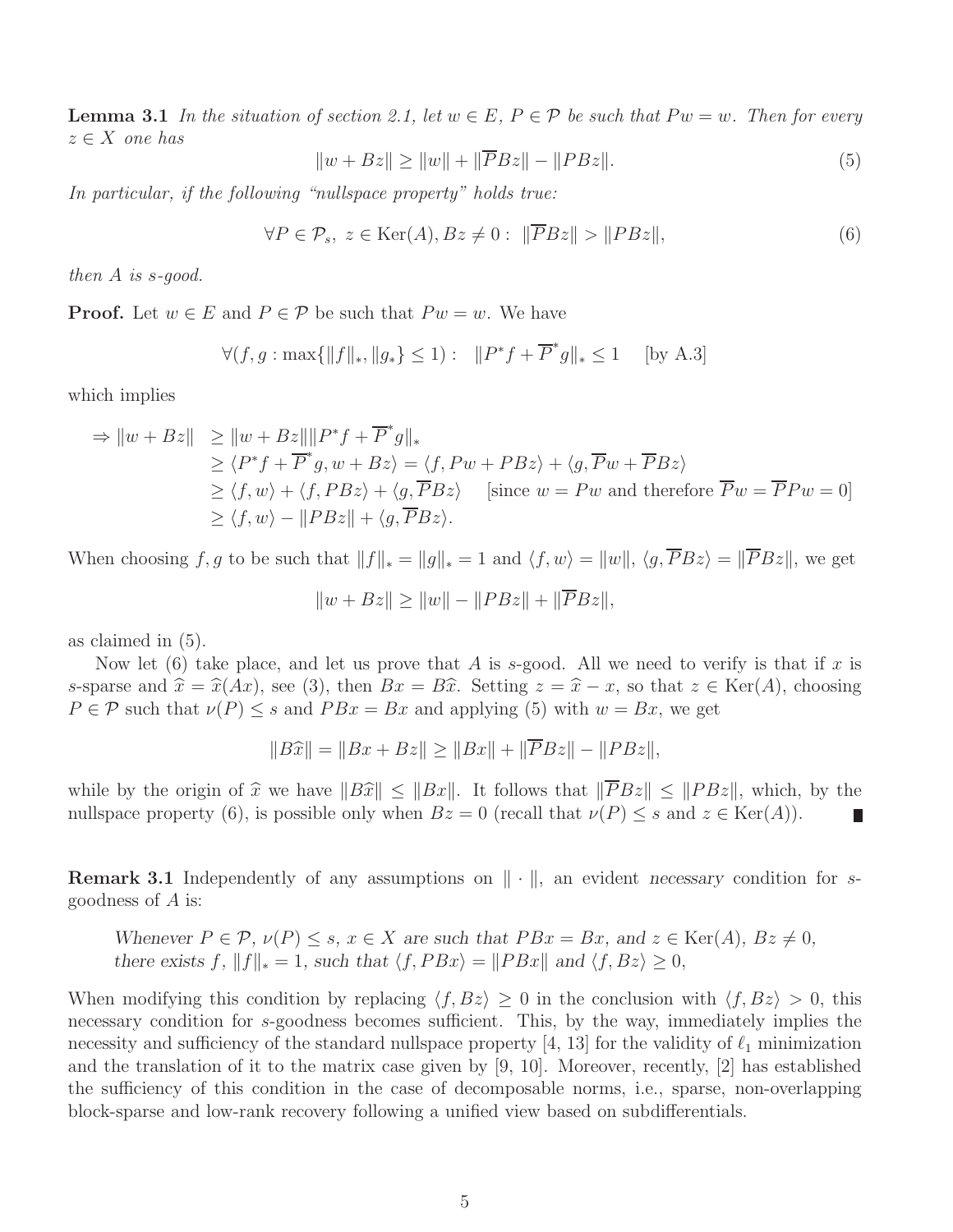**Lemma 3.1** In the situation of section 2.1, let  $w \in E$ ,  $P \in \mathcal{P}$  be such that  $P w = w$ . Then for every  $z \in X$  one has

$$
||w + Bz|| \ge ||w|| + ||\overline{P}Bz|| - ||PBz||.
$$
\n(5)

In particular, if the following "nullspace property" holds true:

$$
\forall P \in \mathcal{P}_s, \ z \in \text{Ker}(A), Bz \neq 0: \ \|\overline{P}Bz\| > \|P Bz\|,\tag{6}
$$

then A is s-good.

**Proof.** Let  $w \in E$  and  $P \in \mathcal{P}$  be such that  $P w = w$ . We have

$$
\forall (f, g: \max\{\|f\|_*, \|g_*\} \le 1): \quad \|P^*f + \overline{P}^*g\|_* \le 1 \quad \text{[by A.3]}
$$

which implies

$$
\Rightarrow \|w + Bz\| \ge \|w + Bz\| \|P^*f + \overline{P}^*g\|_{*}
$$
  
\n
$$
\ge \langle P^*f + \overline{P}^*g, w + Bz \rangle = \langle f, Pw + PBz \rangle + \langle g, \overline{P}w + \overline{P}Bz \rangle
$$
  
\n
$$
\ge \langle f, w \rangle + \langle f, PBz \rangle + \langle g, \overline{P}Bz \rangle \quad \text{[since } w = Pw \text{ and therefore } \overline{P}w = \overline{P}Pw = 0]
$$
  
\n
$$
\ge \langle f, w \rangle - \|PBz\| + \langle g, \overline{P}Bz \rangle.
$$

When choosing f, g to be such that  $||f||_* = ||g||_* = 1$  and  $\langle f, w \rangle = ||w||$ ,  $\langle g, \overline{P}Bz \rangle = ||\overline{P}Bz||$ , we get

$$
||w + Bz|| \ge ||w|| - ||PBz|| + ||\overline{P}Bz||,
$$

as claimed in (5).

Now let (6) take place, and let us prove that A is s-good. All we need to verify is that if x is s-sparse and  $\hat{x} = \hat{x}(Ax)$ , see (3), then  $Bx = B\hat{x}$ . Setting  $z = \hat{x} - x$ , so that  $z \in \text{Ker}(A)$ , choosing  $P \in \mathcal{P}$  such that  $\nu(P) \leq s$  and  $P B x = B x$  and applying (5) with  $w = B x$ , we get

$$
||B\hat{x}|| = ||Bx + Bz|| \ge ||Bx|| + ||\overline{P}Bz|| - ||PBz||,
$$

while by the origin of  $\hat{x}$  we have  $||B\hat{x}|| \le ||Bx||$ . It follows that  $||\overline{P}Bz|| \le ||P Bz||$ , which, by the nullspace property (6), is possible only when  $Bz = 0$  (recall that  $\nu(P) \le s$  and  $z \in \text{Ker}(A)$ ). nullspace property (6), is possible only when  $Bz = 0$  (recall that  $\nu(P) \leq s$  and  $z \in \text{Ker}(A)$ ).

**Remark 3.1** Independently of any assumptions on  $\|\cdot\|$ , an evident *necessary* condition for sgoodness of A is:

*Whenever*  $P \in \mathcal{P}$ *,*  $\nu(P) \leq s$ *,*  $x \in X$  *are such that*  $PBx = Bx$ *, and*  $z \in \text{Ker}(A)$ *,*  $Bz \neq 0$ *, there exists*  $f$ *,*  $||f||_* = 1$ *, such that*  $\langle f, PBx \rangle = ||PBx||$  *and*  $\langle f, Bz \rangle \ge 0$ *,* 

When modifying this condition by replacing  $\langle f, Bz \rangle \geq 0$  in the conclusion with  $\langle f, Bz \rangle > 0$ , this necessary condition for s-goodness becomes sufficient. This, by the way, immediately implies the necessity and sufficiency of the standard nullspace property [4, 13] for the validity of  $\ell_1$  minimization and the translation of it to the matrix case given by [9, 10]. Moreover, recently, [2] has established the sufficiency of this condition in the case of decomposable norms, i.e., sparse, non-overlapping block-sparse and low-rank recovery following a unified view based on subdifferentials.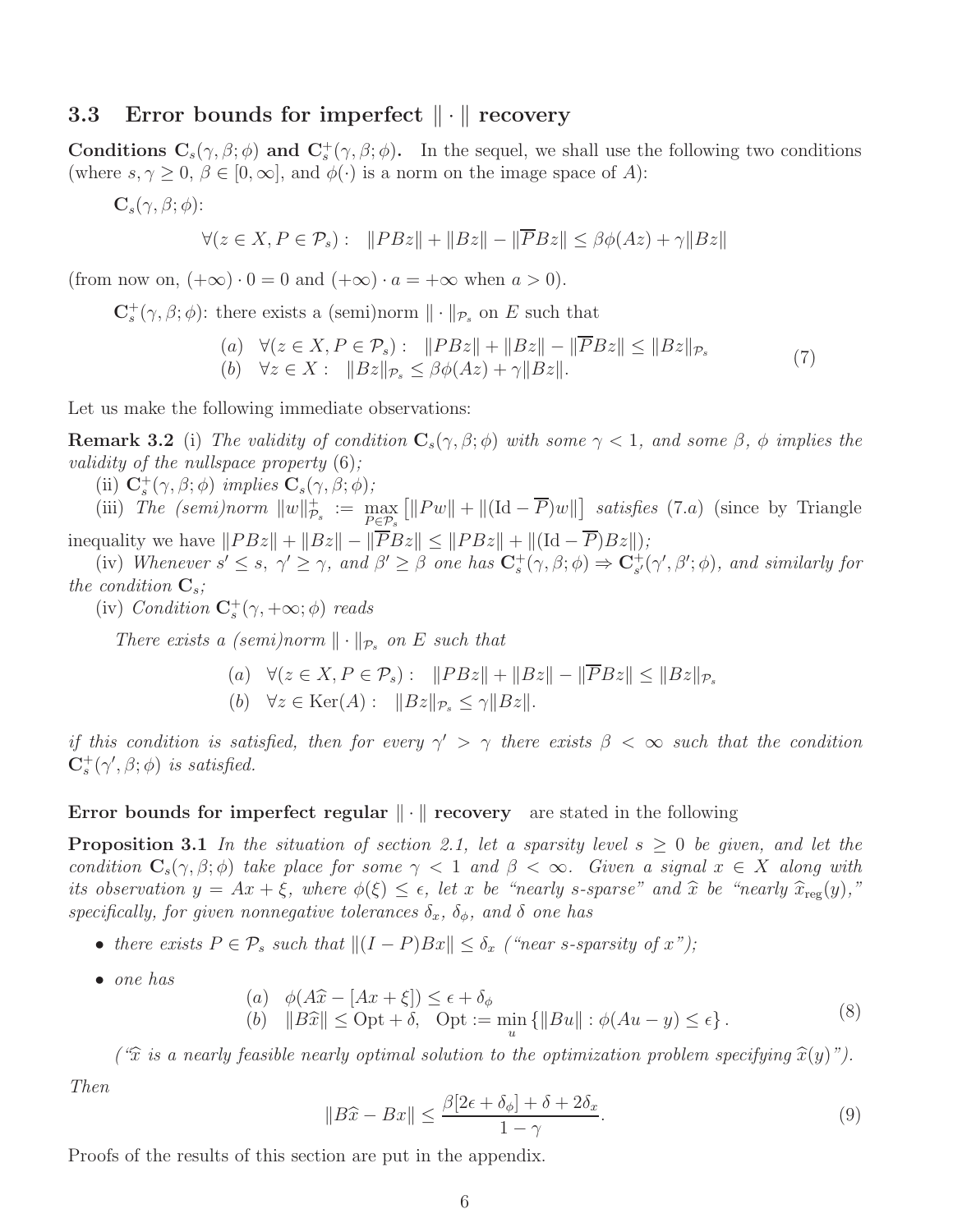# 3.3 Error bounds for imperfect  $\|\cdot\|$  recovery

Conditions  $C_s(\gamma, \beta; \phi)$  and  $C_s^+(\gamma, \beta; \phi)$ . In the sequel, we shall use the following two conditions (where  $s, \gamma \geq 0, \beta \in [0, \infty]$ , and  $\phi(\cdot)$  is a norm on the image space of A):

 $\mathbf{C}_s(\gamma,\beta;\phi)$ :

$$
\forall (z \in X, P \in \mathcal{P}_s): \quad \|P B z\| + \|B z\| - \|\overline{P} B z\| \le \beta \phi(Az) + \gamma \|Bz\|
$$

(from now on,  $(+\infty) \cdot 0 = 0$  and  $(+\infty) \cdot a = +\infty$  when  $a > 0$ ).

 $\mathbf{C}_{s}^{+}(\gamma,\beta;\phi)$ : there exists a (semi)norm  $\|\cdot\|_{\mathcal{P}_{s}}$  on E such that

$$
(a) \quad \forall (z \in X, P \in \mathcal{P}_s): \quad \|PBz\| + \|Bz\| - \|\overline{P}Bz\| \le \|Bz\|_{\mathcal{P}_s} (b) \quad \forall z \in X: \quad \|Bz\|_{\mathcal{P}_s} \le \beta \phi(Az) + \gamma \|Bz\|.
$$
\n
$$
(7)
$$

Let us make the following immediate observations:

**Remark 3.2** (i) The validity of condition  $C_s(\gamma, \beta; \phi)$  with some  $\gamma < 1$ , and some  $\beta$ ,  $\phi$  implies the validity of the nullspace property (6);

(ii)  $\mathbf{C}_{s}^{+}(\gamma,\beta;\phi)$  implies  $\mathbf{C}_{s}(\gamma,\beta;\phi)$ ; s

(iii) The (semi)norm  $||w||_P^+$  $\overline{\mathcal{P}}_s$  :=  $\max_{P \in \mathcal{P}_s}$  $\left[ \left\| P w \right\| + \left\| (\text{Id} - \overline{P}) w \right\| \right]$  satisfies (7.a) (since by Triangle inequality we have  $||P Bz|| + ||Bz|| - ||\overline{P}Bz|| \leq ||P Bz|| + ||(\text{Id} - \overline{P})Bz||$ ;

(iv) Whenever  $s' \leq s, \ \gamma' \geq \gamma$ , and  $\beta' \geq \beta$  one has  $\mathbf{C}_{s}^{+}(\gamma, \beta; \phi) \Rightarrow \mathbf{C}_{s'}^{+}$  $_{s^{\prime }}^{+}(\gamma ^{\prime },\beta ^{\prime };\phi ),$  and similarly for the condition  $\mathbf{C}_s$ ;

(iv) Condition  $\mathbf{C}_{s}^{+}(\gamma, +\infty; \phi)$  reads

There exists a (semi)norm  $\|\cdot\|_{\mathcal{P}_s}$  on E such that

(a) 
$$
\forall (z \in X, P \in \mathcal{P}_s): ||P B z|| + ||B z|| - ||\overline{P} B z|| \le ||B z||_{\mathcal{P}_s}
$$
  
(b)  $\forall z \in \text{Ker}(A): ||B z||_{\mathcal{P}_s} \le \gamma ||B z||.$ 

if this condition is satisfied, then for every  $\gamma' > \gamma$  there exists  $\beta < \infty$  such that the condition  $\mathbf{C}_{s}^{+}(\gamma', \beta; \phi)$  is satisfied.

### Error bounds for imperfect regular  $\|\cdot\|$  recovery are stated in the following

**Proposition 3.1** In the situation of section 2.1, let a sparsity level  $s \geq 0$  be given, and let the condition  $C_s(\gamma, \beta; \phi)$  take place for some  $\gamma < 1$  and  $\beta < \infty$ . Given a signal  $x \in X$  along with its observation  $y = Ax + \xi$ , where  $\phi(\xi) \leq \epsilon$ , let x be "nearly s-sparse" and  $\hat{x}$  be "nearly  $\hat{x}_{reg}(y)$ ," specifically, for given nonnegative tolerances  $\delta_x$ ,  $\delta_\phi$ , and  $\delta$  one has

- there exists  $P \in \mathcal{P}_s$  such that  $||(I P)Bx|| \leq \delta_x$  ("near s-sparsity of x");
- one has

(a) 
$$
\phi(A\hat{x} - [Ax + \xi]) \le \epsilon + \delta_{\phi}
$$
  
\n(b)  $\|B\hat{x}\| \le \text{Opt} + \delta$ , Opt :=  $\min_{u} \{ \|Bu\| : \phi(Au - y) \le \epsilon \}.$  (8)

(" $\hat{x}$  is a nearly feasible nearly optimal solution to the optimization problem specifying  $\hat{x}(y)$ ").

Then

$$
||B\hat{x} - Bx|| \le \frac{\beta[2\epsilon + \delta_{\phi}] + \delta + 2\delta_{x}}{1 - \gamma}.
$$
\n(9)

Proofs of the results of this section are put in the appendix.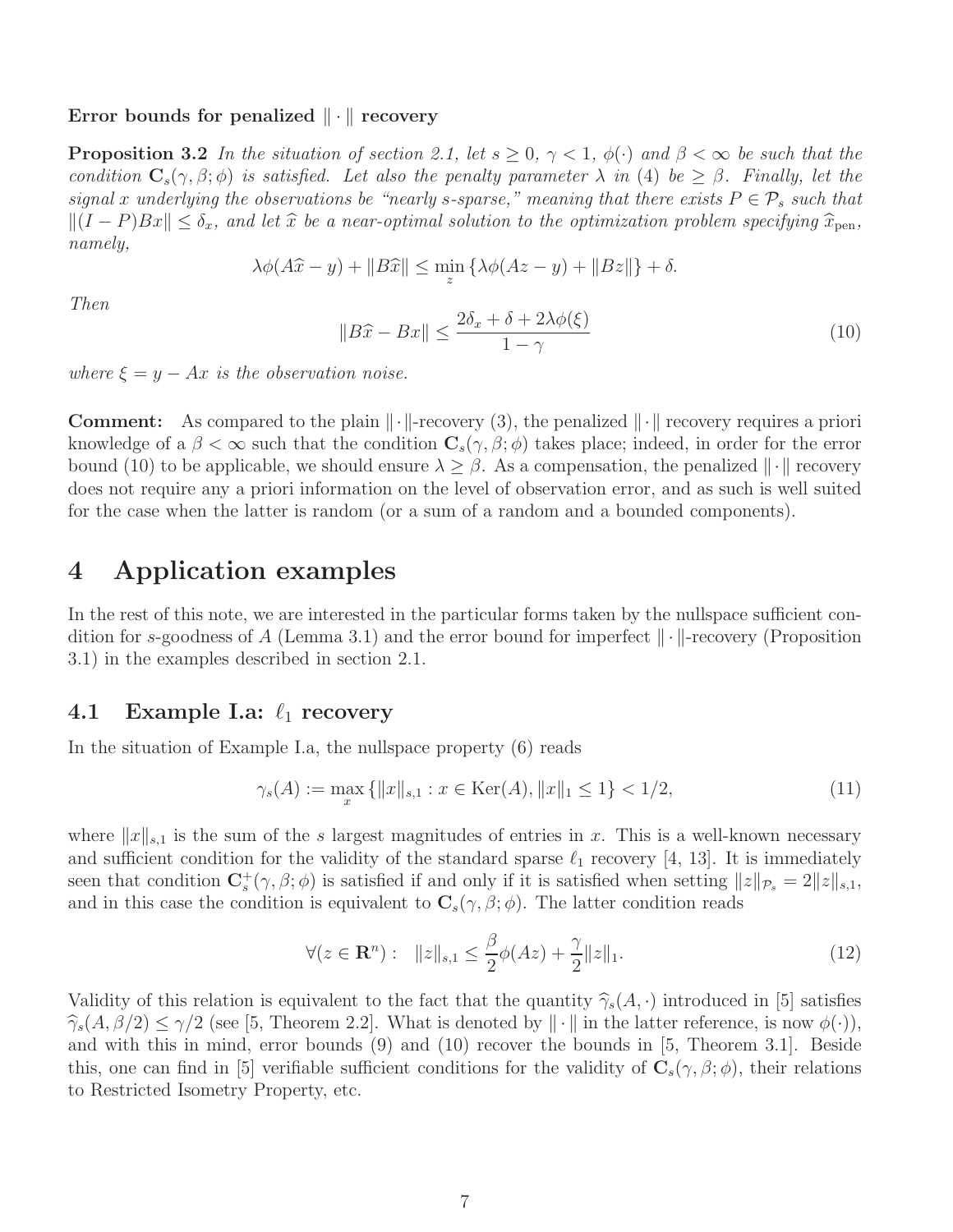#### Error bounds for penalized  $\|\cdot\|$  recovery

**Proposition 3.2** In the situation of section 2.1, let  $s \geq 0$ ,  $\gamma < 1$ ,  $\phi(\cdot)$  and  $\beta < \infty$  be such that the condition  $C_s(\gamma, \beta; \phi)$  is satisfied. Let also the penalty parameter  $\lambda$  in (4) be  $\geq \beta$ . Finally, let the signal x underlying the observations be "nearly s-sparse," meaning that there exists  $P \in \mathcal{P}_s$  such that  $||(I - P)Bx|| \leq \delta_x$ , and let  $\hat{x}$  be a near-optimal solution to the optimization problem specifying  $\hat{x}_{pen}$ , namely,

$$
\lambda \phi(A\hat{x} - y) + ||B\hat{x}|| \le \min_{z} \{ \lambda \phi(Az - y) + ||Bz|| \} + \delta.
$$

Then

$$
||B\hat{x} - Bx|| \le \frac{2\delta_x + \delta + 2\lambda\phi(\xi)}{1 - \gamma}
$$
\n(10)

where  $\xi = y - Ax$  is the observation noise.

**Comment:** As compared to the plain  $\|\cdot\|$ -recovery (3), the penalized  $\|\cdot\|$  recovery requires a priori knowledge of a  $\beta < \infty$  such that the condition  $C_s(\gamma, \beta; \phi)$  takes place; indeed, in order for the error bound (10) to be applicable, we should ensure  $\lambda \geq \beta$ . As a compensation, the penalized  $\|\cdot\|$  recovery does not require any a priori information on the level of observation error, and as such is well suited for the case when the latter is random (or a sum of a random and a bounded components).

# 4 Application examples

In the rest of this note, we are interested in the particular forms taken by the nullspace sufficient condition for s-goodness of A (Lemma 3.1) and the error bound for imperfect  $\|\cdot\|$ -recovery (Proposition 3.1) in the examples described in section 2.1.

# 4.1 Example I.a:  $\ell_1$  recovery

In the situation of Example I.a, the nullspace property (6) reads

$$
\gamma_s(A) := \max_x \{ ||x||_{s,1} : x \in \text{Ker}(A), ||x||_1 \le 1 \} < 1/2,\tag{11}
$$

where  $||x||_{s,1}$  is the sum of the s largest magnitudes of entries in x. This is a well-known necessary and sufficient condition for the validity of the standard sparse  $\ell_1$  recovery [4, 13]. It is immediately seen that condition  $\mathbf{C}_{s}^{+}(\gamma,\beta;\phi)$  is satisfied if and only if it is satisfied when setting  $||z||_{\mathcal{P}_{s}} = 2||z||_{s,1}$ , and in this case the condition is equivalent to  $\mathbf{C}_s(\gamma,\beta;\phi)$ . The latter condition reads

$$
\forall (z \in \mathbf{R}^n): \ \|z\|_{s,1} \le \frac{\beta}{2}\phi(Az) + \frac{\gamma}{2} \|z\|_1.
$$
 (12)

Validity of this relation is equivalent to the fact that the quantity  $\hat{\gamma}_s(A, \cdot)$  introduced in [5] satisfies  $\widehat{\gamma}_{s}(A, \beta/2) \leq \gamma/2$  (see [5, Theorem 2.2]. What is denoted by  $\|\cdot\|$  in the latter reference, is now  $\phi(\cdot)$ ), and with this in mind, error bounds (9) and (10) recover the bounds in [5, Theorem 3.1]. Beside this, one can find in [5] verifiable sufficient conditions for the validity of  $\mathbf{C}_s(\gamma,\beta;\phi)$ , their relations to Restricted Isometry Property, etc.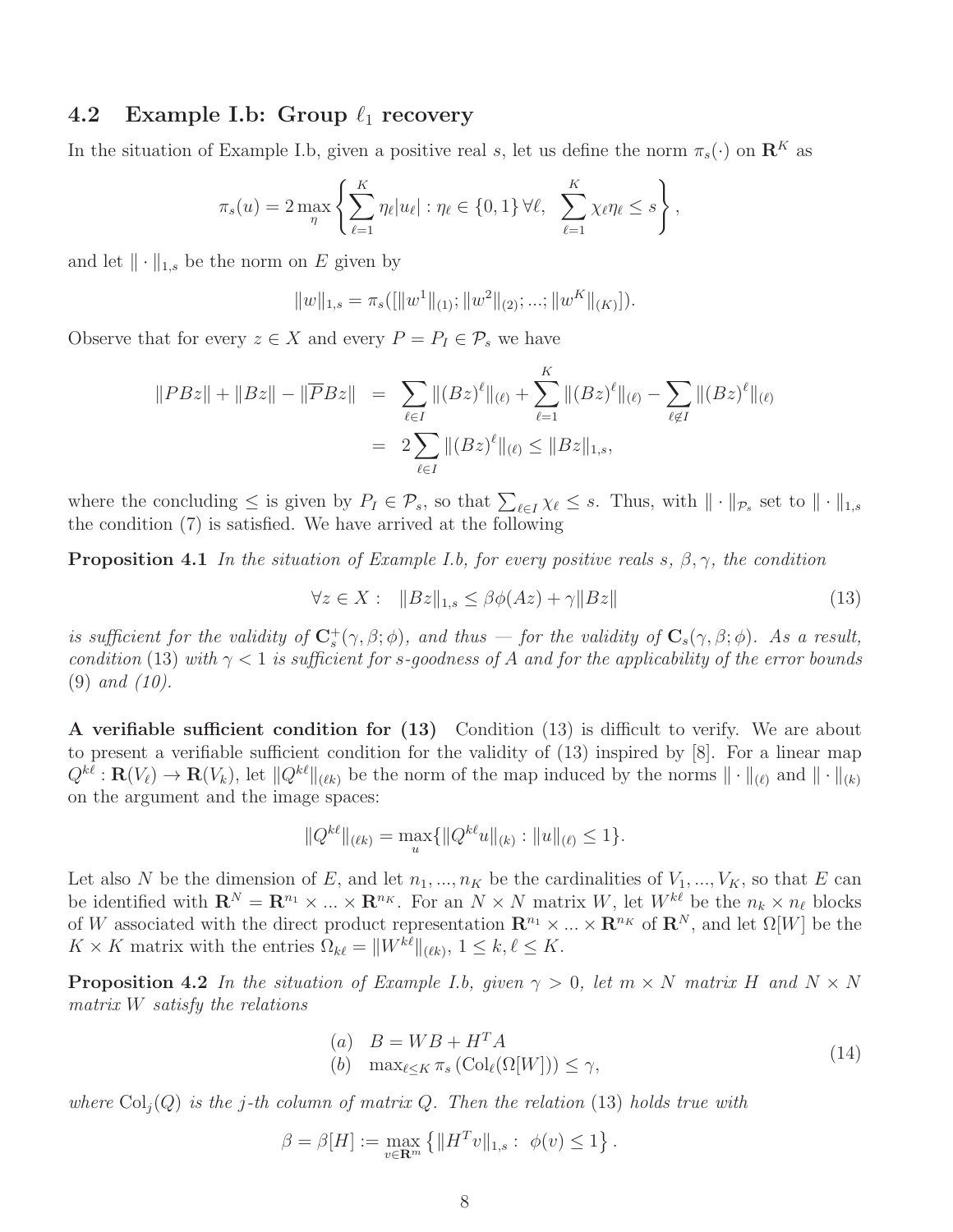## 4.2 Example I.b: Group  $\ell_1$  recovery

In the situation of Example I.b, given a positive real s, let us define the norm  $\pi_s(\cdot)$  on  $\mathbb{R}^K$  as

$$
\pi_s(u) = 2 \max_{\eta} \left\{ \sum_{\ell=1}^K \eta_\ell |u_\ell| : \eta_\ell \in \{0,1\} \,\forall \ell, \ \sum_{\ell=1}^K \chi_\ell \eta_\ell \leq s \right\},\,
$$

and let  $\|\cdot\|_{1,s}$  be the norm on E given by

$$
||w||_{1,s} = \pi_s([[w^1||_{(1)}; ||w^2||_{(2)}; ...; ||w^K||_{(K)}]).
$$

Observe that for every  $z \in X$  and every  $P = P_I \in \mathcal{P}_s$  we have

$$
||P Bz|| + ||Bz|| - ||\overline{P}Bz|| = \sum_{\ell \in I} ||(Bz)^{\ell}||_{(\ell)} + \sum_{\ell=1}^{K} ||(Bz)^{\ell}||_{(\ell)} - \sum_{\ell \notin I} ||(Bz)^{\ell}||_{(\ell)}
$$
  
= 
$$
2 \sum_{\ell \in I} ||(Bz)^{\ell}||_{(\ell)} \le ||Bz||_{1,s},
$$

where the concluding  $\leq$  is given by  $P_I \in \mathcal{P}_s$ , so that  $\sum_{\ell \in I} \chi_{\ell} \leq s$ . Thus, with  $\|\cdot\|_{\mathcal{P}_s}$  set to  $\|\cdot\|_{1,s}$ the condition (7) is satisfied. We have arrived at the following

**Proposition 4.1** In the situation of Example I.b, for every positive reals s,  $\beta$ ,  $\gamma$ , the condition

$$
\forall z \in X: \quad \|Bz\|_{1,s} \le \beta \phi(Az) + \gamma \|Bz\| \tag{13}
$$

is sufficient for the validity of  $C_s^+(\gamma, \beta; \phi)$ , and thus — for the validity of  $C_s(\gamma, \beta; \phi)$ . As a result, condition (13) with  $\gamma < 1$  is sufficient for s-goodness of A and for the applicability of the error bounds (9) and (10).

A verifiable sufficient condition for (13) Condition (13) is difficult to verify. We are about to present a verifiable sufficient condition for the validity of (13) inspired by [8]. For a linear map  $Q^{k\ell}: \mathbf{R}(V_{\ell}) \to \mathbf{R}(V_k)$ , let  $||Q^{k\ell}||_{(\ell k)}$  be the norm of the map induced by the norms  $|| \cdot ||_{(\ell)}$  and  $|| \cdot ||_{(k)}$ on the argument and the image spaces:

$$
||Q^{k\ell}||_{(\ell k)} = \max_{u} \{||Q^{k\ell}u||_{(k)} : ||u||_{(\ell)} \leq 1\}.
$$

Let also N be the dimension of E, and let  $n_1, ..., n_K$  be the cardinalities of  $V_1, ..., V_K$ , so that E can be identified with  $\mathbf{R}^{N} = \mathbf{R}^{n_1} \times ... \times \mathbf{R}^{n_K}$ . For an  $N \times N$  matrix W, let  $W^{k\ell}$  be the  $n_k \times n_{\ell}$  blocks of W associated with the direct product representation  $\mathbb{R}^{n_1} \times ... \times \mathbb{R}^{n_K}$  of  $\mathbb{R}^N$ , and let  $\Omega[W]$  be the  $K \times K$  matrix with the entries  $\Omega_{k\ell} = ||W^{k\ell}||_{(\ell k)}, 1 \leq k, \ell \leq K.$ 

**Proposition 4.2** In the situation of Example I.b, given  $\gamma > 0$ , let  $m \times N$  matrix H and  $N \times N$ matrix W satisfy the relations

(a) 
$$
B = WB + H^T A
$$
  
(b)  $\max_{\ell \le K} \pi_s (\text{Col}_{\ell}(\Omega[W])) \le \gamma,$  (14)

where  $Col_i(Q)$  is the j-th column of matrix Q. Then the relation (13) holds true with

$$
\beta = \beta[H] := \max_{v \in \mathbf{R}^m} \{ ||H^T v||_{1,s} : \phi(v) \le 1 \}.
$$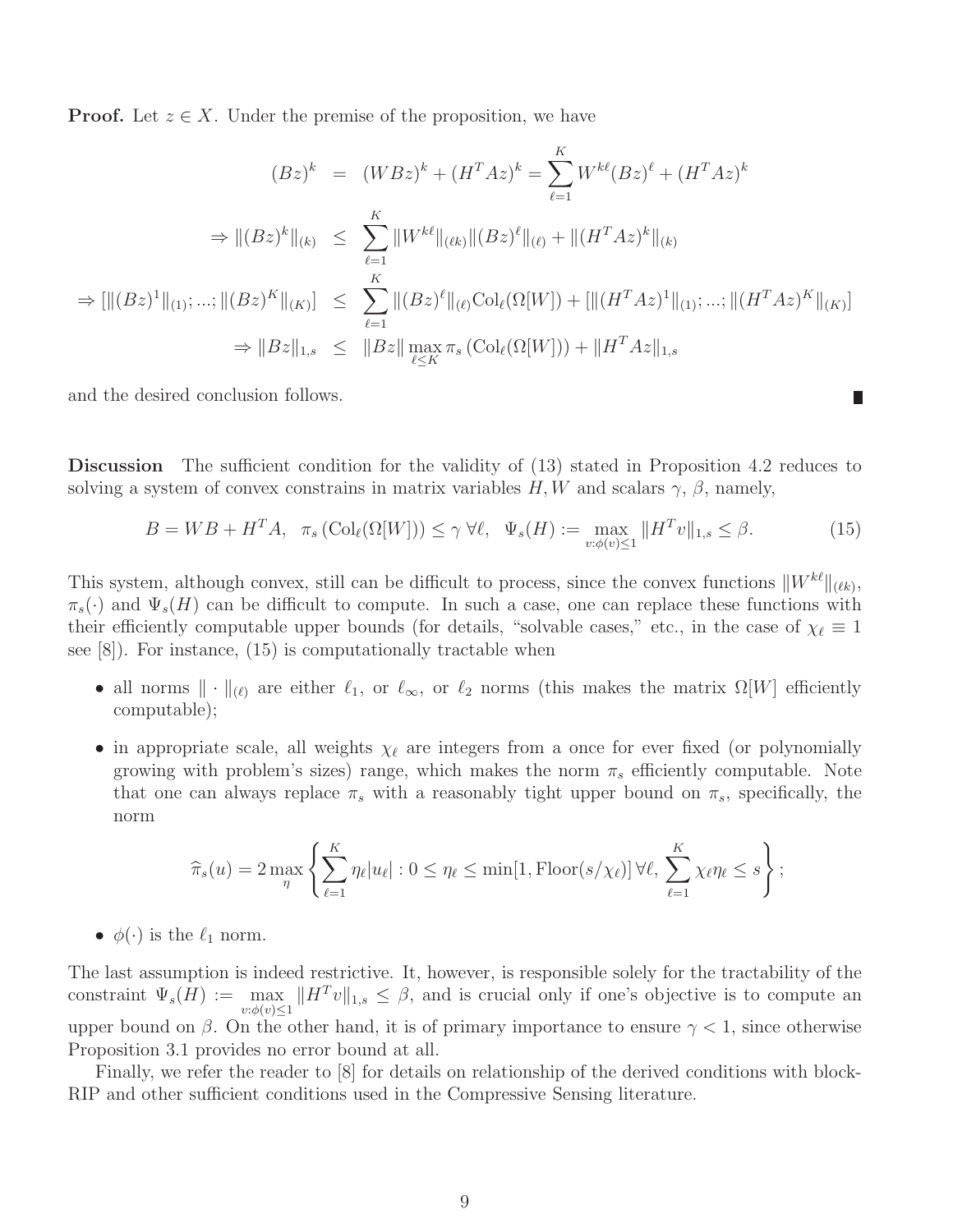**Proof.** Let  $z \in X$ . Under the premise of the proposition, we have

$$
(Bz)^k = (WBz)^k + (H^T Az)^k = \sum_{\ell=1}^K W^{k\ell} (Bz)^{\ell} + (H^T Az)^k
$$
  
\n
$$
\Rightarrow ||(Bz)^k||_{(k)} \le \sum_{\ell=1}^K ||W^{k\ell}||_{(\ell k)} ||(Bz)^{\ell}||_{(\ell)} + ||(H^T Az)^k||_{(k)}
$$
  
\n
$$
\Rightarrow [||(Bz)^1||_{(1)}; \dots; ||(Bz)^K||_{(K)}] \le \sum_{\ell=1}^K ||(Bz)^{\ell}||_{(\ell)} \text{Col}_{\ell}(\Omega[W]) + [||(H^T Az)^1||_{(1)}; \dots; ||(H^T Az)^K||_{(K)}]
$$
  
\n
$$
\Rightarrow ||Bz||_{1,s} \le ||Bz|| \max_{\ell \le K} \pi_s (\text{Col}_{\ell}(\Omega[W])) + ||H^T Az||_{1,s}
$$

and the desired conclusion follows.

Discussion The sufficient condition for the validity of (13) stated in Proposition 4.2 reduces to solving a system of convex constrains in matrix variables  $H, W$  and scalars  $\gamma$ ,  $\beta$ , namely,

$$
B = WB + HTA, \quad \pi_s \left( \text{Col}_{\ell}(\Omega[W]) \right) \le \gamma \ \forall \ell, \ \ \Psi_s(H) := \max_{v: \phi(v) \le 1} \| H^T v \|_{1,s} \le \beta. \tag{15}
$$

 $\Box$ 

This system, although convex, still can be difficult to process, since the convex functions  $\|W^{k\ell}\|_{(\ell k)}$ ,  $\pi_s(\cdot)$  and  $\Psi_s(H)$  can be difficult to compute. In such a case, one can replace these functions with their efficiently computable upper bounds (for details, "solvable cases," etc., in the case of  $\chi_{\ell} \equiv 1$ see [8]). For instance, (15) is computationally tractable when

- all norms  $\|\cdot\|_{(\ell)}$  are either  $\ell_1$ , or  $\ell_\infty$ , or  $\ell_2$  norms (this makes the matrix  $\Omega[W]$  efficiently computable);
- in appropriate scale, all weights  $\chi_{\ell}$  are integers from a once for ever fixed (or polynomially growing with problem's sizes) range, which makes the norm  $\pi_s$  efficiently computable. Note that one can always replace  $\pi_s$  with a reasonably tight upper bound on  $\pi_s$ , specifically, the norm

$$
\widehat{\pi}_s(u) = 2 \max_{\eta} \left\{ \sum_{\ell=1}^K \eta_\ell |u_\ell| : 0 \le \eta_\ell \le \min[1, \text{Floor}(s/\chi_\ell)] \,\forall \ell, \, \sum_{\ell=1}^K \chi_\ell \eta_\ell \le s \right\};
$$

•  $\phi(\cdot)$  is the  $\ell_1$  norm.

The last assumption is indeed restrictive. It, however, is responsible solely for the tractability of the constraint  $\Psi_s(H) := \max_{v:\phi(v)\leq 1} ||H^T v||_{1,s} \leq \beta$ , and is crucial only if one's objective is to compute an upper bound on  $\beta$ . On the other hand, it is of primary importance to ensure  $\gamma < 1$ , since otherwise Proposition 3.1 provides no error bound at all.

Finally, we refer the reader to [8] for details on relationship of the derived conditions with block-RIP and other sufficient conditions used in the Compressive Sensing literature.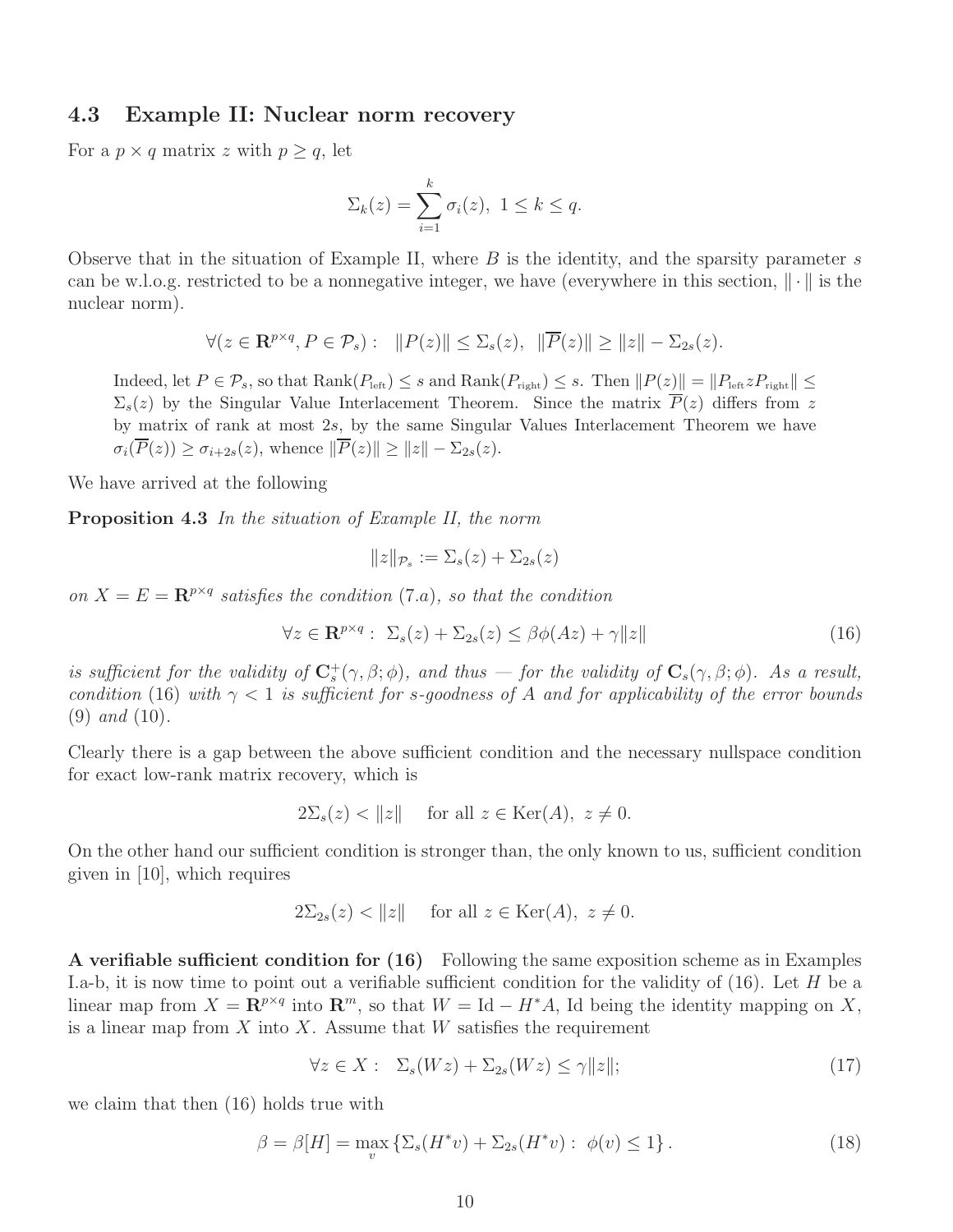### 4.3 Example II: Nuclear norm recovery

For a  $p \times q$  matrix z with  $p \geq q$ , let

$$
\Sigma_k(z) = \sum_{i=1}^k \sigma_i(z), \ 1 \leq k \leq q.
$$

Observe that in the situation of Example II, where  $B$  is the identity, and the sparsity parameter  $s$ can be w.l.o.g. restricted to be a nonnegative integer, we have (everywhere in this section,  $\|\cdot\|$  is the nuclear norm).

$$
\forall (z \in \mathbf{R}^{p \times q}, P \in \mathcal{P}_s): \quad ||P(z)|| \leq \Sigma_s(z), \quad ||\overline{P}(z)|| \geq ||z|| - \Sigma_{2s}(z).
$$

Indeed, let  $P \in \mathcal{P}_s$ , so that  $\text{Rank}(P_{\text{left}}) \leq s$  and  $\text{Rank}(P_{\text{right}}) \leq s$ . Then  $||P(z)|| = ||P_{\text{left}} z P_{\text{right}}|| \leq$  $\Sigma_s(z)$  by the Singular Value Interlacement Theorem. Since the matrix  $\overline{P}(z)$  differs from z by matrix of rank at most 2s, by the same Singular Values Interlacement Theorem we have  $\sigma_i(\overline{P}(z)) \geq \sigma_{i+2s}(z)$ , whence  $\|\overline{P}(z)\| \geq \|z\| - \Sigma_{2s}(z)$ .

We have arrived at the following

Proposition 4.3 In the situation of Example II, the norm

$$
||z||_{\mathcal{P}_s} := \Sigma_s(z) + \Sigma_{2s}(z)
$$

on  $X = E = \mathbb{R}^{p \times q}$  satisfies the condition (7.a), so that the condition

$$
\forall z \in \mathbf{R}^{p \times q} : \ \Sigma_s(z) + \Sigma_{2s}(z) \le \beta \phi(Az) + \gamma \|z\| \tag{16}
$$

is sufficient for the validity of  $C_s^+(\gamma, \beta; \phi)$ , and thus — for the validity of  $C_s(\gamma, \beta; \phi)$ . As a result, condition (16) with  $\gamma$  < 1 is sufficient for s-goodness of A and for applicability of the error bounds (9) and (10).

Clearly there is a gap between the above sufficient condition and the necessary nullspace condition for exact low-rank matrix recovery, which is

$$
2\Sigma_s(z) < ||z|| \quad \text{ for all } z \in \text{Ker}(A), \ z \neq 0.
$$

On the other hand our sufficient condition is stronger than, the only known to us, sufficient condition given in [10], which requires

$$
2\Sigma_{2s}(z) < \|z\| \quad \text{for all } z \in \text{Ker}(A), \ z \neq 0.
$$

A verifiable sufficient condition for (16) Following the same exposition scheme as in Examples I.a-b, it is now time to point out a verifiable sufficient condition for the validity of  $(16)$ . Let H be a linear map from  $X = \mathbb{R}^{p \times q}$  into  $\mathbb{R}^m$ , so that  $W = \text{Id} - H^*A$ , Id being the identity mapping on X, is a linear map from  $X$  into  $X$ . Assume that  $W$  satisfies the requirement

$$
\forall z \in X: \ \Sigma_s(Wz) + \Sigma_{2s}(Wz) \le \gamma ||z||; \tag{17}
$$

we claim that then (16) holds true with

$$
\beta = \beta[H] = \max_{v} \left\{ \Sigma_s(H^*v) + \Sigma_{2s}(H^*v) : \phi(v) \le 1 \right\}.
$$
 (18)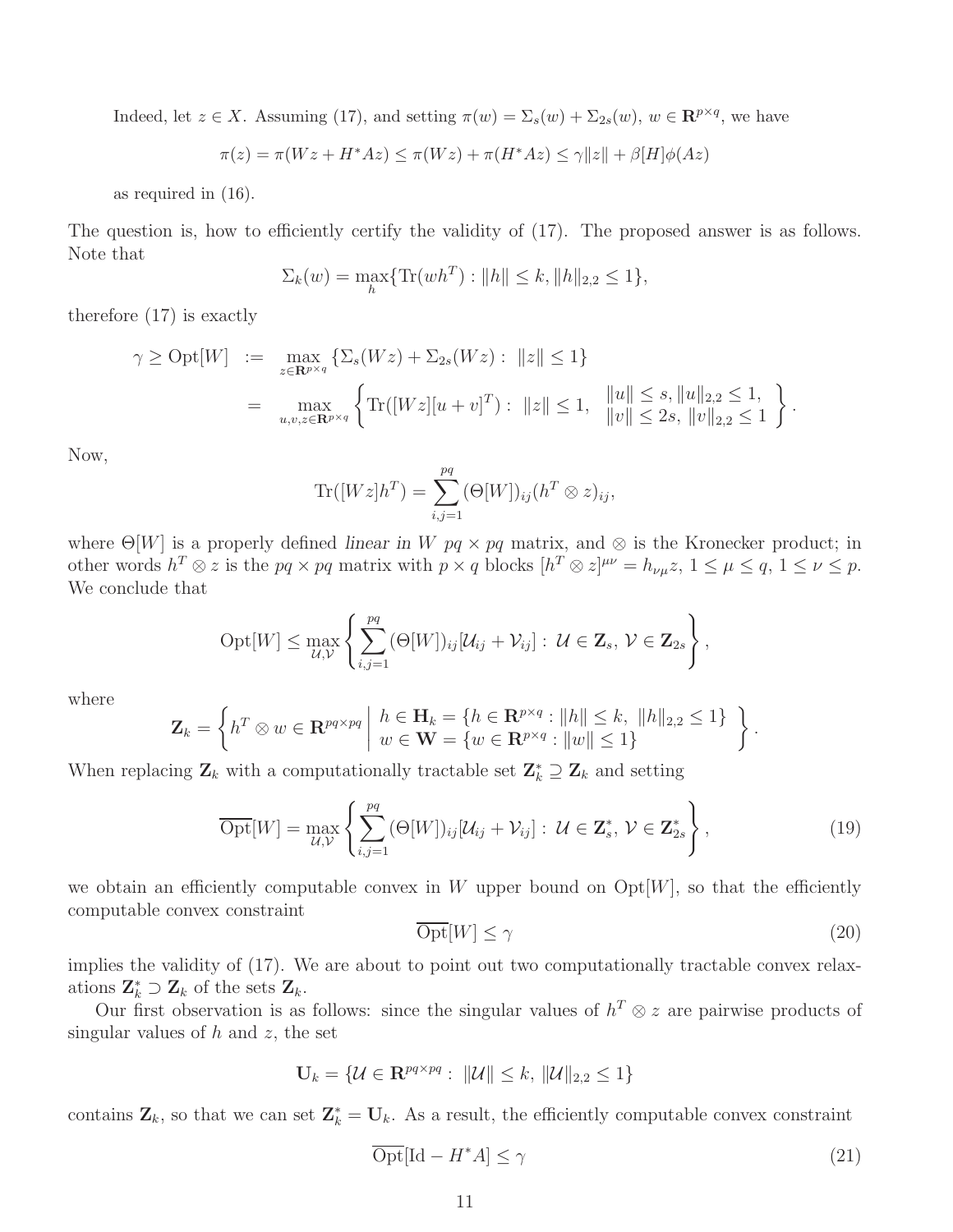Indeed, let  $z \in X$ . Assuming (17), and setting  $\pi(w) = \Sigma_s(w) + \Sigma_{2s}(w)$ ,  $w \in \mathbb{R}^{p \times q}$ , we have

$$
\pi(z) = \pi(Wz + H^*Az) \le \pi(Wz) + \pi(H^*Az) \le \gamma ||z|| + \beta[H]\phi(Az)
$$

as required in (16).

The question is, how to efficiently certify the validity of  $(17)$ . The proposed answer is as follows. Note that

$$
\Sigma_k(w) = \max_h \{ \text{Tr}(wh^T) : ||h|| \le k, ||h||_{2,2} \le 1 \},
$$

therefore (17) is exactly

$$
\gamma \ge \text{Opt}[W] := \max_{z \in \mathbf{R}^{p \times q}} \left\{ \sum_s (Wz) + \sum_{2s} (Wz) : ||z|| \le 1 \right\}
$$
  
= 
$$
\max_{u,v,z \in \mathbf{R}^{p \times q}} \left\{ \text{Tr}([Wz][u + v]^T) : ||z|| \le 1, ||u|| \le s, ||u||_{2,2} \le 1, \atop ||v|| \le 2s, ||v||_{2,2} \le 1 \right\}.
$$

Now,

$$
\text{Tr}([Wz]h^T) = \sum_{i,j=1}^{pq} (\Theta[W])_{ij} (h^T \otimes z)_{ij},
$$

where  $\Theta[W]$  is a properly defined *linear in* W  $pq \times pq$  matrix, and  $\otimes$  is the Kronecker product; in other words  $h^T \otimes z$  is the  $pq \times pq$  matrix with  $p \times q$  blocks  $[h^T \otimes z]^{\mu\nu} = h_{\nu\mu}z$ ,  $1 \le \mu \le q$ ,  $1 \le \nu \le p$ . We conclude that

$$
Opt[W] \leq \max_{\mathcal{U}, \mathcal{V}} \left\{ \sum_{i,j=1}^{pq} (\Theta[W])_{ij} [\mathcal{U}_{ij} + \mathcal{V}_{ij}] : \ \mathcal{U} \in \mathbf{Z}_s, \ \mathcal{V} \in \mathbf{Z}_{2s} \right\},
$$

where

$$
\mathbf{Z}_{k} = \left\{ h^{T} \otimes w \in \mathbf{R}^{pq \times pq} \middle| h \in \mathbf{H}_{k} = \{ h \in \mathbf{R}^{p \times q} : ||h|| \leq k, ||h||_{2,2} \leq 1 \} \right\}.
$$

When replacing  $\mathbf{Z}_k$  with a computationally tractable set  $\mathbf{Z}_k^* \supseteq \mathbf{Z}_k$  and setting

$$
\overline{\text{Opt}}[W] = \max_{\mathcal{U}, \mathcal{V}} \left\{ \sum_{i,j=1}^{pq} (\Theta[W])_{ij} [\mathcal{U}_{ij} + \mathcal{V}_{ij}] : \ \mathcal{U} \in \mathbf{Z}_s^*, \ \mathcal{V} \in \mathbf{Z}_{2s}^* \right\},\tag{19}
$$

we obtain an efficiently computable convex in W upper bound on  $\mathrm{Opt}[W]$ , so that the efficiently computable convex constraint

$$
\overline{\text{Opt}}[W] \le \gamma \tag{20}
$$

implies the validity of (17). We are about to point out two computationally tractable convex relaxations  $\mathbf{Z}_{k}^{*} \supset \mathbf{Z}_{k}$  of the sets  $\mathbf{Z}_{k}$ .

Our first observation is as follows: since the singular values of  $h^T \otimes z$  are pairwise products of singular values of  $h$  and  $z$ , the set

$$
\mathbf{U}_k = \{ \mathcal{U} \in \mathbf{R}^{pq \times pq} : ||\mathcal{U}|| \leq k, ||\mathcal{U}||_{2,2} \leq 1 \}
$$

contains  $\mathbf{Z}_k$ , so that we can set  $\mathbf{Z}_k^* = \mathbf{U}_k$ . As a result, the efficiently computable convex constraint

$$
\overline{\text{Opt}}[\text{Id} - H^*A] \le \gamma \tag{21}
$$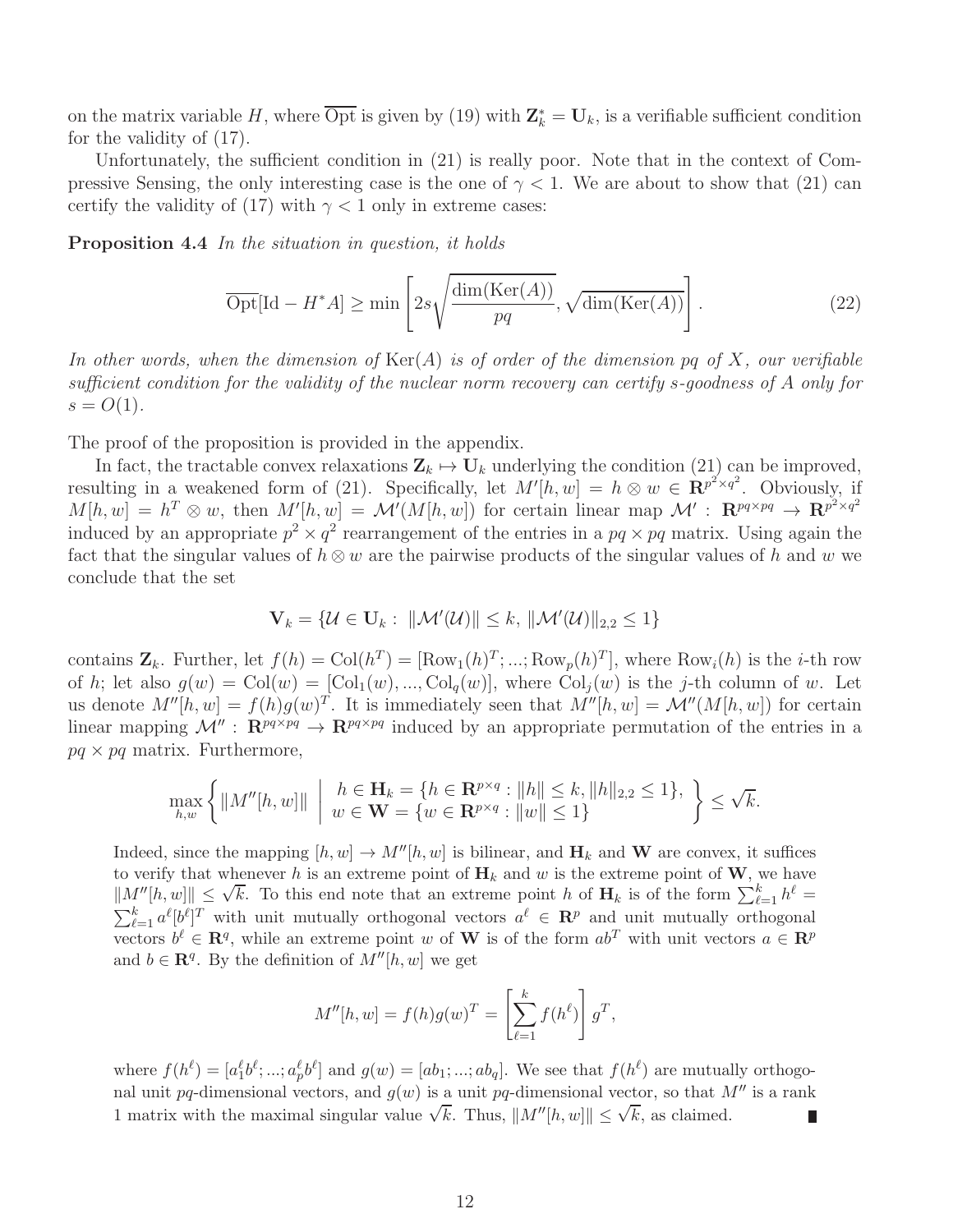on the matrix variable H, where  $\overline{\text{Opt}}$  is given by (19) with  $\mathbf{Z}_k^* = \mathbf{U}_k$ , is a verifiable sufficient condition for the validity of (17).

Unfortunately, the sufficient condition in (21) is really poor. Note that in the context of Compressive Sensing, the only interesting case is the one of  $\gamma < 1$ . We are about to show that (21) can certify the validity of (17) with  $\gamma$  < 1 only in extreme cases:

Proposition 4.4 In the situation in question, it holds

$$
\overline{\text{Opt}}[\text{Id} - H^*A] \ge \min\left[2s\sqrt{\frac{\dim(\text{Ker}(A))}{pq}}, \sqrt{\dim(\text{Ker}(A))}\right].\tag{22}
$$

In other words, when the dimension of  $\text{Ker}(A)$  is of order of the dimension pq of X, our verifiable sufficient condition for the validity of the nuclear norm recovery can certify s-goodness of A only for  $s = O(1)$ .

The proof of the proposition is provided in the appendix.

In fact, the tractable convex relaxations  $\mathbf{Z}_k \mapsto \mathbf{U}_k$  underlying the condition (21) can be improved, resulting in a weakened form of (21). Specifically, let  $M'[h, w] = h \otimes w \in \mathbb{R}^{p^2 \times q^2}$ . Obviously, if  $M[h, w] = h^T \otimes w$ , then  $M'[h, w] = \mathcal{M}'(M[h, w])$  for certain linear map  $\mathcal{M}' : \mathbb{R}^{pq \times pq} \to \mathbb{R}^{p^2 \times q^2}$ induced by an appropriate  $p^2 \times q^2$  rearrangement of the entries in a  $pq \times pq$  matrix. Using again the fact that the singular values of  $h \otimes w$  are the pairwise products of the singular values of h and w we conclude that the set

$$
\mathbf{V}_k = \{ \mathcal{U} \in \mathbf{U}_k : ||\mathcal{M}'(\mathcal{U})|| \leq k, ||\mathcal{M}'(\mathcal{U})||_{2,2} \leq 1 \}
$$

contains  $\mathbf{Z}_k$ . Further, let  $f(h) = Col(h^T) = [\text{Row}_1(h)^T; ...; \text{Row}_p(h)^T]$ , where  $\text{Row}_i(h)$  is the *i*-th row of h; let also  $g(w) = \text{Col}(w) = [\text{Col}_1(w), ..., \text{Col}_q(w)]$ , where  $\text{Col}_i(w)$  is the j-th column of w. Let us denote  $M''[h, w] = f(h)g(w)^T$ . It is immediately seen that  $M''[h, w] = \mathcal{M}''(M[h, w])$  for certain linear mapping  $\mathcal{M}''$ :  $\mathbb{R}^{pq \times pq} \to \mathbb{R}^{pq \times pq}$  induced by an appropriate permutation of the entries in a  $pq \times pq$  matrix. Furthermore,

$$
\max_{h,w} \left\{ \|M''[h,w]\| \ \middle| \ \begin{array}{l} h \in \mathbf{H}_k = \{h \in \mathbf{R}^{p \times q} : \|h\| \le k, \|h\|_{2,2} \le 1\}, \\ w \in \mathbf{W} = \{w \in \mathbf{R}^{p \times q} : \|w\| \le 1\} \end{array} \right\} \le \sqrt{k}.
$$

Indeed, since the mapping  $[h, w] \to M''[h, w]$  is bilinear, and  $\mathbf{H}_k$  and W are convex, it suffices to verify that whenever h is an extreme point of  $H_k$  and w is the extreme point of W, we have  $\|M''[h,w]\| \leq \sqrt{k}$ . To this end note that an extreme point h of  $\mathbf{H}_k$  is of the form  $\sum_{\ell=1}^k h^{\ell} =$  $\sum_{\ell=1}^k a^{\ell} [b^{\ell}]^T$  with unit mutually orthogonal vectors  $a^{\ell} \in \mathbb{R}^p$  and unit mutually orthogonal vectors  $b^{\ell} \in \mathbb{R}^{q}$ , while an extreme point w of **W** is of the form  $ab^{T}$  with unit vectors  $a \in \mathbb{R}^{p}$ and  $b \in \mathbf{R}^q$ . By the definition of  $M''[h, w]$  we get

$$
M''[h, w] = f(h)g(w)^T = \left[\sum_{\ell=1}^k f(h^{\ell})\right]g^T,
$$

where  $f(h^{\ell}) = [a_1^{\ell}b^{\ell};...;a_p^{\ell}b^{\ell}]$  and  $g(w) = [ab_1;...;ab_q]$ . We see that  $f(h^{\ell})$  are mutually orthogonal unit pq-dimensional vectors, and  $g(w)$  is a unit pq-dimensional vector, so that M'' is a rank 1 matrix with the maximal singular value  $\sqrt{k}$ . Thus,  $||M''[h, w]|| \leq \sqrt{k}$ , as claimed.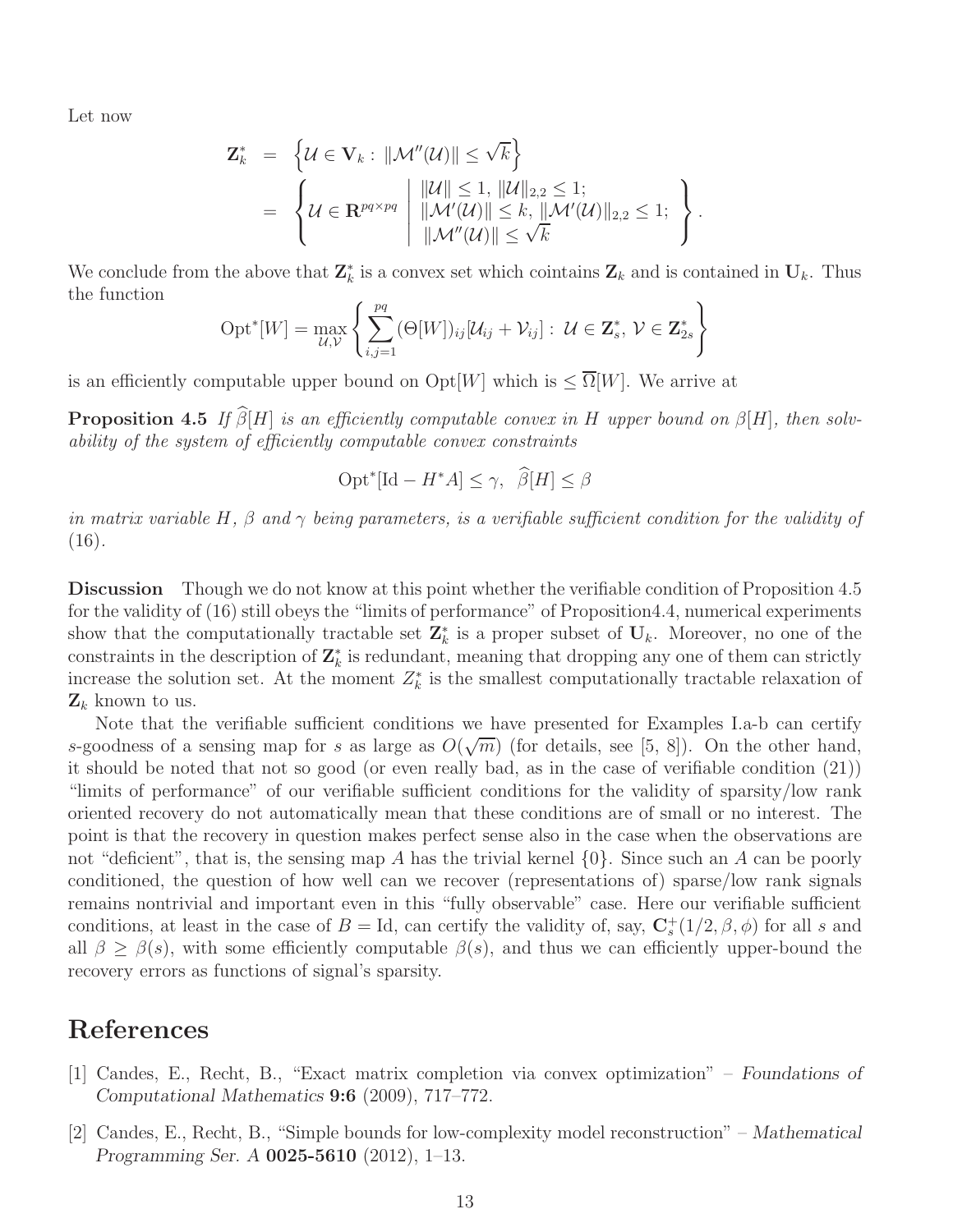Let now

$$
\mathbf{Z}_{k}^{*} = \left\{ \mathcal{U} \in \mathbf{V}_{k} : ||\mathcal{M}''(\mathcal{U})|| \leq \sqrt{k} \right\} \n= \left\{ \mathcal{U} \in \mathbf{R}^{pq \times pq} \: \middle| \: ||\mathcal{U}|| \leq 1, \, ||\mathcal{U}||_{2,2} \leq 1; \, ||\mathcal{M}'(\mathcal{U})||_{2,2} \leq 1; \, \right\}.
$$

We conclude from the above that  $\mathbf{Z}_k^*$  is a convex set which cointains  $\mathbf{Z}_k$  and is contained in  $\mathbf{U}_k$ . Thus the function

$$
Opt^*[W] = \max_{\mathcal{U},\mathcal{V}} \left\{ \sum_{i,j=1}^{pq} (\Theta[W])_{ij} [\mathcal{U}_{ij} + \mathcal{V}_{ij}] : \ \mathcal{U} \in \mathbf{Z}_s^*, \ \mathcal{V} \in \mathbf{Z}_{2s}^* \right\}
$$

is an efficiently computable upper bound on  $\mathrm{Opt}[W]$  which is  $\leq \overline{\Omega}[W]$ . We arrive at

**Proposition 4.5** If  $\widehat{\beta}[H]$  is an efficiently computable convex in H upper bound on  $\beta[H]$ , then solvability of the system of efficiently computable convex constraints

$$
Opt^*[Id - H^*A] \le \gamma, \ \widehat{\beta}[H] \le \beta
$$

in matrix variable H,  $\beta$  and  $\gamma$  being parameters, is a verifiable sufficient condition for the validity of  $(16).$ 

Discussion Though we do not know at this point whether the verifiable condition of Proposition 4.5 for the validity of (16) still obeys the "limits of performance" of Proposition4.4, numerical experiments show that the computationally tractable set  $\mathbb{Z}_k^*$  is a proper subset of  $\mathbf{U}_k$ . Moreover, no one of the constraints in the description of  $\mathbf{Z}_{k}^{*}$  is redundant, meaning that dropping any one of them can strictly increase the solution set. At the moment  $Z_k^*$  is the smallest computationally tractable relaxation of  $\mathbf{Z}_k$  known to us.

Note that the verifiable sufficient conditions we have presented for Examples I.a-b can certify s-goodness of a sensing map for s as large as  $O(\sqrt{m})$  (for details, see [5, 8]). On the other hand, it should be noted that not so good (or even really bad, as in the case of verifiable condition (21)) "limits of performance" of our verifiable sufficient conditions for the validity of sparsity/low rank oriented recovery do not automatically mean that these conditions are of small or no interest. The point is that the recovery in question makes perfect sense also in the case when the observations are not "deficient", that is, the sensing map A has the trivial kernel  $\{0\}$ . Since such an A can be poorly conditioned, the question of how well can we recover (representations of) sparse/low rank signals remains nontrivial and important even in this "fully observable" case. Here our verifiable sufficient conditions, at least in the case of  $B = Id$ , can certify the validity of, say,  $\mathbf{C}_{s}^{+}(1/2, \beta, \phi)$  for all s and all  $\beta \geq \beta(s)$ , with some efficiently computable  $\beta(s)$ , and thus we can efficiently upper-bound the recovery errors as functions of signal's sparsity.

# References

- [1] Candes, E., Recht, B., "Exact matrix completion via convex optimization" *Foundations of Computational Mathematics* 9:6 (2009), 717–772.
- [2] Candes, E., Recht, B., "Simple bounds for low-complexity model reconstruction" *Mathematical Programming Ser. A* 0025-5610 (2012), 1–13.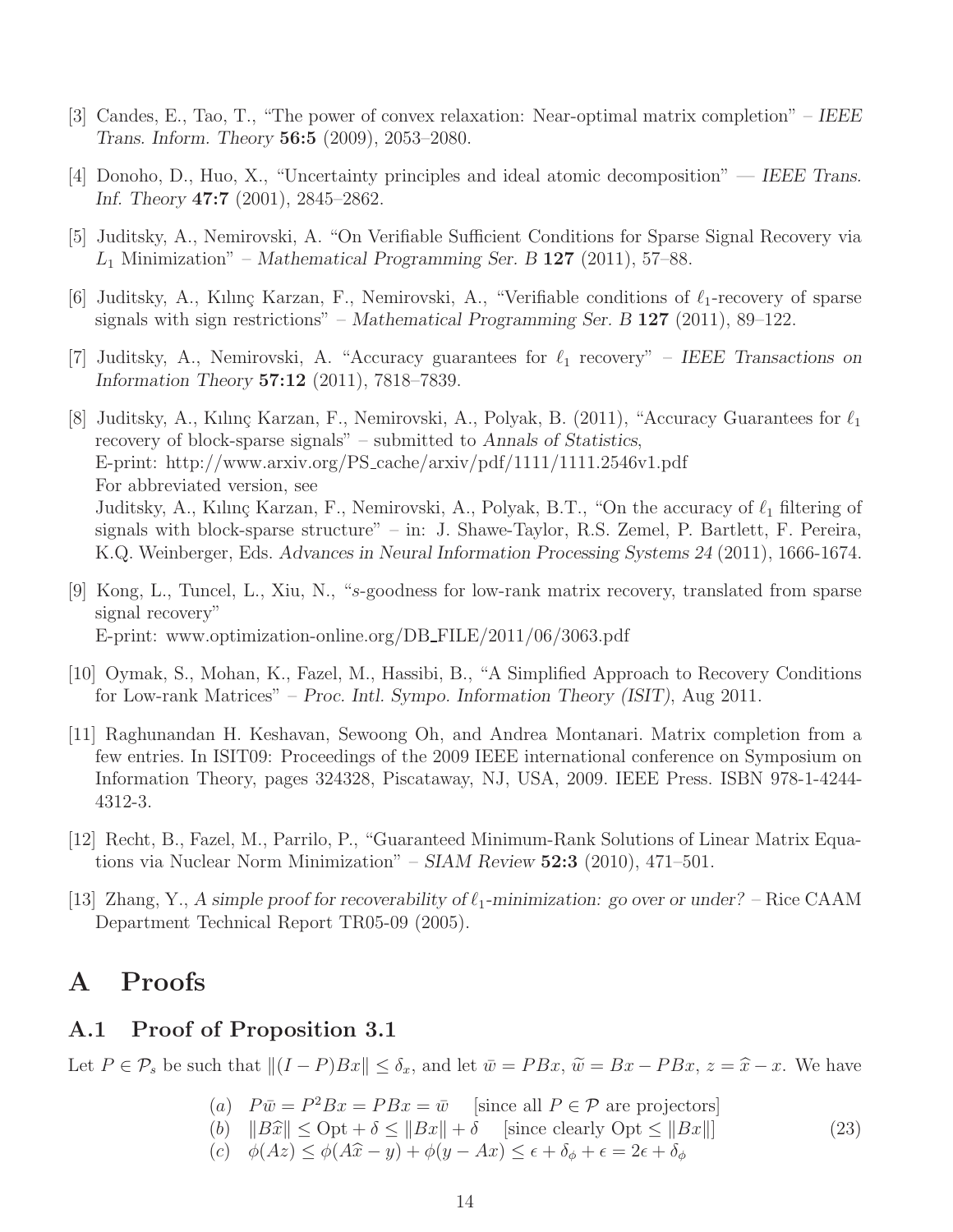- [3] Candes, E., Tao, T., "The power of convex relaxation: Near-optimal matrix completion" *IEEE Trans. Inform. Theory* 56:5 (2009), 2053–2080.
- [4] Donoho, D., Huo, X., "Uncertainty principles and ideal atomic decomposition" *IEEE Trans. Inf. Theory* 47:7 (2001), 2845–2862.
- [5] Juditsky, A., Nemirovski, A. "On Verifiable Sufficient Conditions for Sparse Signal Recovery via L<sup>1</sup> Minimization" – *Mathematical Programming Ser. B* 127 (2011), 57–88.
- [6] Juditsky, A., Kılınç Karzan, F., Nemirovski, A., "Verifiable conditions of  $\ell_1$ -recovery of sparse signals with sign restrictions" – *Mathematical Programming Ser. B* 127 (2011), 89–122.
- [7] Juditsky, A., Nemirovski, A. "Accuracy guarantees for ℓ<sup>1</sup> recovery" *IEEE Transactions on Information Theory* 57:12 (2011), 7818–7839.
- [8] Juditsky, A., Kılınç Karzan, F., Nemirovski, A., Polyak, B. (2011), "Accuracy Guarantees for  $\ell_1$ recovery of block-sparse signals" – submitted to *Annals of Statistics*, E-print: http://www.arxiv.org/PS cache/arxiv/pdf/1111/1111.2546v1.pdf For abbreviated version, see Juditsky, A., Kılınç Karzan, F., Nemirovski, A., Polyak, B.T., "On the accuracy of  $\ell_1$  filtering of signals with block-sparse structure" – in: J. Shawe-Taylor, R.S. Zemel, P. Bartlett, F. Pereira, K.Q. Weinberger, Eds. *Advances in Neural Information Processing Systems 24* (2011), 1666-1674.
- [9] Kong, L., Tuncel, L., Xiu, N., "s-goodness for low-rank matrix recovery, translated from sparse signal recovery" E-print: www.optimization-online.org/DB FILE/2011/06/3063.pdf
- [10] Oymak, S., Mohan, K., Fazel, M., Hassibi, B., "A Simplified Approach to Recovery Conditions for Low-rank Matrices" – *Proc. Intl. Sympo. Information Theory (ISIT)*, Aug 2011.
- [11] Raghunandan H. Keshavan, Sewoong Oh, and Andrea Montanari. Matrix completion from a few entries. In ISIT09: Proceedings of the 2009 IEEE international conference on Symposium on Information Theory, pages 324328, Piscataway, NJ, USA, 2009. IEEE Press. ISBN 978-1-4244- 4312-3.
- [12] Recht, B., Fazel, M., Parrilo, P., "Guaranteed Minimum-Rank Solutions of Linear Matrix Equations via Nuclear Norm Minimization" – *SIAM Review* 52:3 (2010), 471–501.
- [13] Zhang, Y., A simple proof for recoverability of  $\ell_1$ -minimization: go over or under? Rice CAAM Department Technical Report TR05-09 (2005).

# A Proofs

## A.1 Proof of Proposition 3.1

Let  $P \in \mathcal{P}_s$  be such that  $||(I - P)Bx|| \leq \delta_x$ , and let  $\bar{w} = PBx$ ,  $\tilde{w} = Bx - PBx$ ,  $z = \hat{x} - x$ . We have

- (a)  $P\bar{w} = P^2 Bx = PBx = \bar{w}$  [since all  $P \in \mathcal{P}$  are projectors]
- (b)  $||B\hat{x}|| \leq Opt + \delta \leq ||Bx|| + \delta$  [since clearly  $Opt \leq ||Bx||$ ] (c)  $\phi(Az) \leq \phi(A\hat{x} - y) + \phi(y - Ax) \leq \epsilon + \delta_{\phi} + \epsilon = 2\epsilon + \delta_{\phi}$ (23)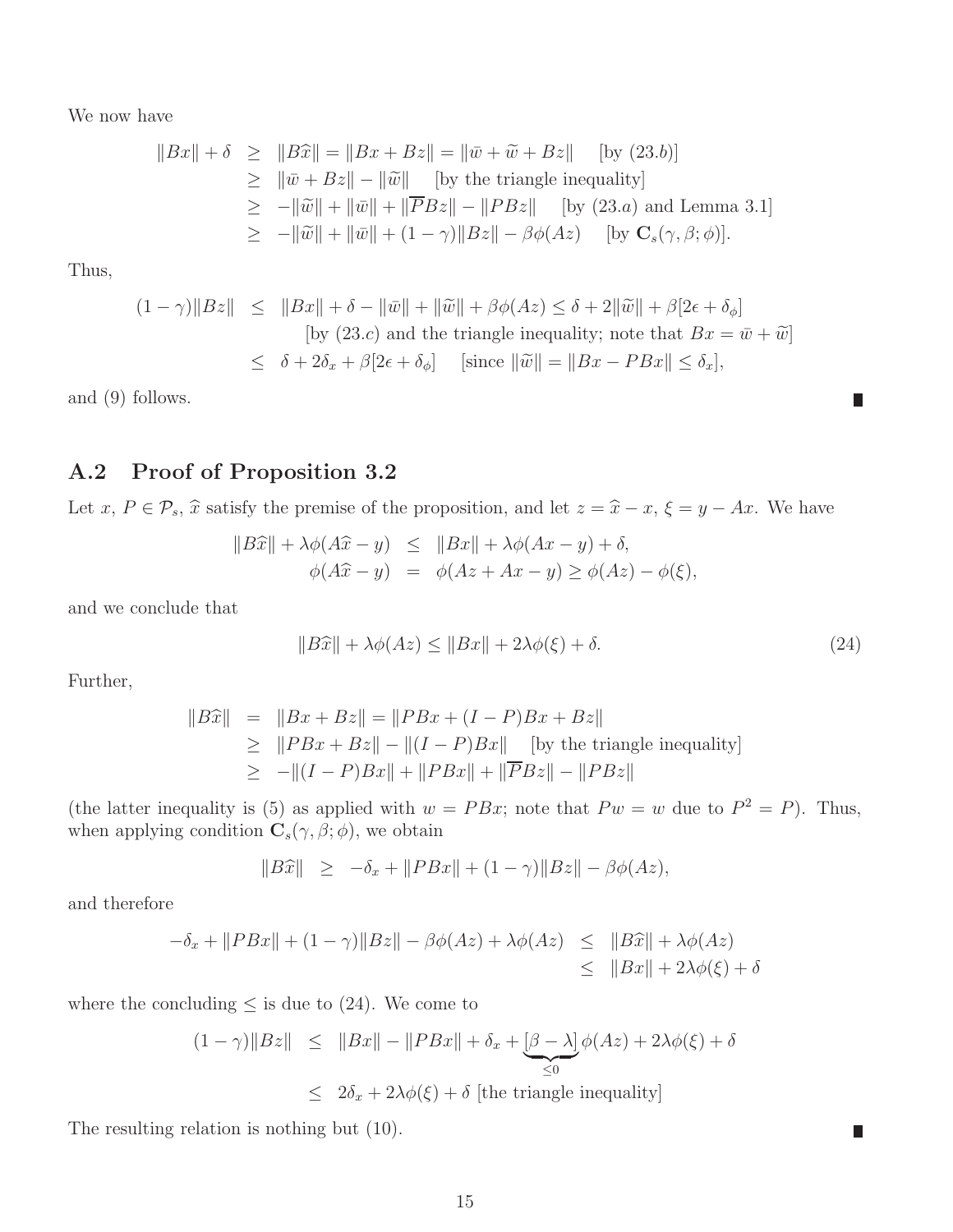We now have

$$
||Bx|| + \delta \ge ||B\widehat{x}|| = ||Bx + Bz|| = ||\overline{w} + \widetilde{w} + Bz|| \quad \text{[by (23.b)]}
$$
  
\n
$$
\ge ||\overline{w} + Bz|| - ||\widetilde{w}|| \quad \text{[by the triangle inequality]}
$$
  
\n
$$
\ge -||\widetilde{w}|| + ||\overline{w}|| + ||\overline{P}Bz|| - ||PBz|| \quad \text{[by (23.a) and Lemma 3.1]}
$$
  
\n
$$
\ge -||\widetilde{w}|| + ||\overline{w}|| + (1 - \gamma)||Bz|| - \beta \phi(Az) \quad \text{[by Cs(\gamma, \beta; \phi)].
$$

Thus,

$$
(1 - \gamma) \|Bz\| \le \|Bx\| + \delta - \|\bar{w}\| + \|\tilde{w}\| + \beta\phi(Az) \le \delta + 2\|\tilde{w}\| + \beta[2\epsilon + \delta_{\phi}]
$$
  
[by (23.c) and the triangle inequality; note that  $Bx = \bar{w} + \tilde{w}$ ]  

$$
\le \delta + 2\delta_x + \beta[2\epsilon + \delta_{\phi}] \quad \text{[since } \|\tilde{w}\| = \|Bx - PBx\| \le \delta_x],
$$

and (9) follows.

# A.2 Proof of Proposition 3.2

Let  $x, P \in \mathcal{P}_s$ ,  $\widehat{x}$  satisfy the premise of the proposition, and let  $z = \widehat{x} - x$ ,  $\xi = y - Ax$ . We have

$$
||B\hat{x}|| + \lambda \phi(A\hat{x} - y) \le ||Bx|| + \lambda \phi(Ax - y) + \delta,
$$
  

$$
\phi(A\hat{x} - y) = \phi(Az + Ax - y) \ge \phi(Az) - \phi(\xi),
$$

and we conclude that

$$
||B\hat{x}|| + \lambda \phi(Az) \le ||Bx|| + 2\lambda \phi(\xi) + \delta.
$$
\n(24)

 $\overline{\phantom{a}}$ 

 $\Box$ 

Further,

$$
||B\hat{x}|| = ||Bx + Bz|| = ||PBx + (I - P)Bx + Bz||
$$
  
\n
$$
\ge ||PBx + Bz|| - ||(I - P)Bx|| \text{ [by the triangle inequality]}
$$
  
\n
$$
\ge -||(I - P)Bx|| + ||PBx|| + ||\overline{P}Bz|| - ||PBz||
$$

(the latter inequality is (5) as applied with  $w = PBx$ ; note that  $P w = w$  due to  $P^2 = P$ ). Thus, when applying condition  $\mathbf{C}_s(\gamma,\beta;\phi),$  we obtain

$$
||B\hat{x}|| \ge -\delta_x + ||P Bx|| + (1 - \gamma)||Bz|| - \beta \phi(Az),
$$

and therefore

$$
-\delta_x + ||P Bx|| + (1 - \gamma)||Bz|| - \beta \phi(Az) + \lambda \phi(Az) \le ||B\widehat{x}|| + \lambda \phi(Az)
$$
  

$$
\le ||Bx|| + 2\lambda \phi(\xi) + \delta
$$

where the concluding  $\leq$  is due to (24). We come to

$$
(1 - \gamma) \|Bz\| \le \|Bx\| - \|P Bx\| + \delta_x + \underbrace{\left[\beta - \lambda\right]}_{\leq 0} \phi(Az) + 2\lambda \phi(\xi) + \delta
$$
  

$$
\le 2\delta_x + 2\lambda \phi(\xi) + \delta \text{ [the triangle inequality]}
$$

The resulting relation is nothing but (10).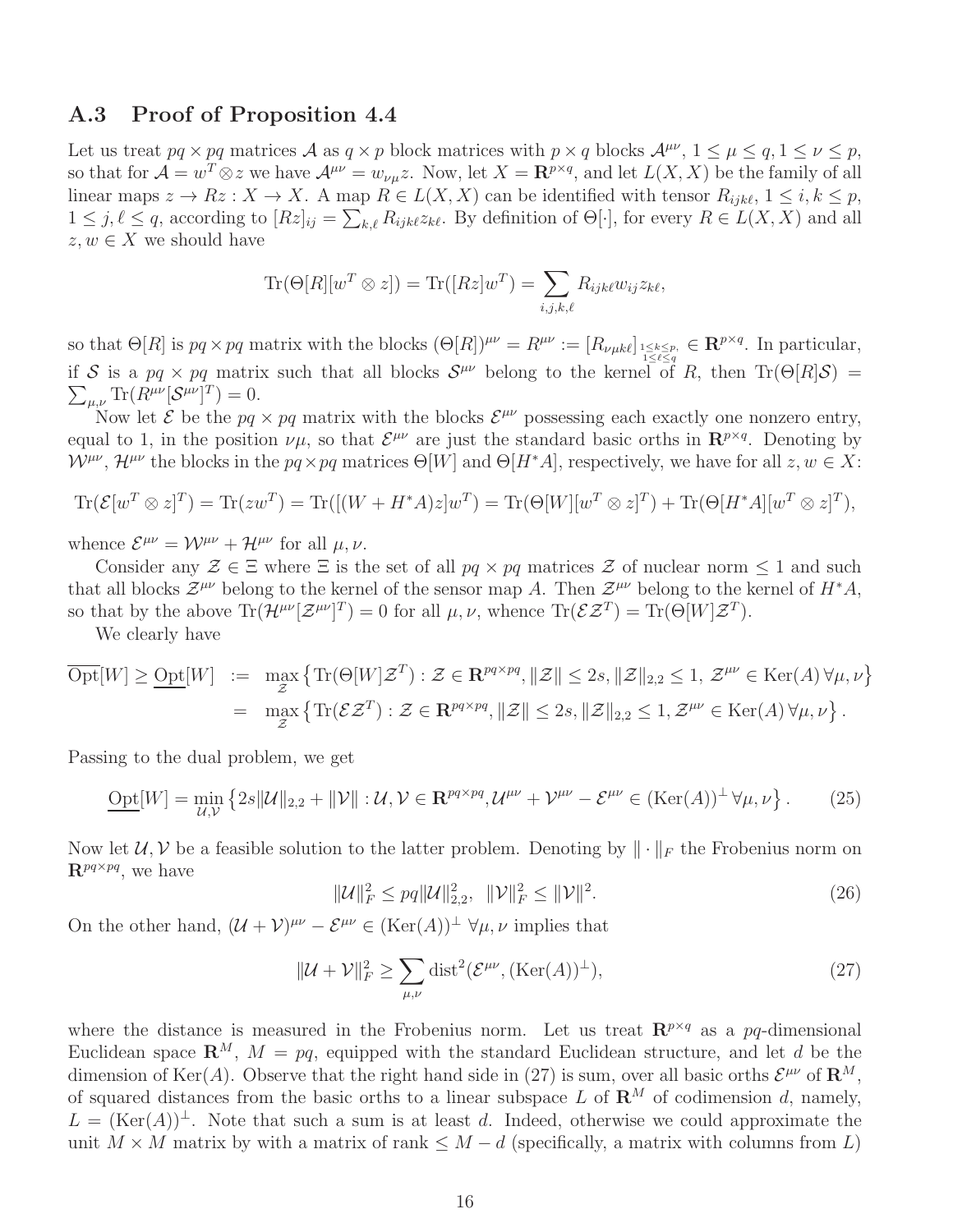### A.3 Proof of Proposition 4.4

Let us treat  $pq \times pq$  matrices A as  $q \times p$  block matrices with  $p \times q$  blocks  $\mathcal{A}^{\mu\nu}$ ,  $1 \leq \mu \leq q$ ,  $1 \leq \nu \leq p$ , so that for  $\mathcal{A} = w^T \otimes z$  we have  $\mathcal{A}^{\mu\nu} = w_{\nu\mu}z$ . Now, let  $X = \mathbb{R}^{p \times q}$ , and let  $L(X, X)$  be the family of all linear maps  $z \to Rz : X \to X$ . A map  $R \in L(X,X)$  can be identified with tensor  $R_{ijk\ell}, 1 \leq i, k \leq p$ ,  $1 \leq j, \ell \leq q$ , according to  $[Rz]_{ij} = \sum_{k,\ell} R_{ijk\ell} z_{k\ell}$ . By definition of  $\Theta[\cdot]$ , for every  $R \in L(X, X)$  and all  $z, w \in X$  we should have

$$
\text{Tr}(\Theta[R][w^T \otimes z]) = \text{Tr}([Rz]w^T) = \sum_{i,j,k,\ell} R_{ijk\ell} w_{ij} z_{k\ell},
$$

so that  $\Theta[R]$  is  $pq \times pq$  matrix with the blocks  $(\Theta[R])^{\mu\nu} = R^{\mu\nu} := [R_{\nu\mu k\ell}]_{\substack{1 \leq k \leq p, \\ 1 \leq \ell \leq q}} \in \mathbb{R}^{p \times q}$ . In particular, if S is a  $pq \times pq$  matrix such that all blocks  $S^{\mu\nu}$  belong to the kernel of R, then  $\text{Tr}(\Theta[R]\mathcal{S}) =$  $\sum_{\mu,\nu} \text{Tr}(R^{\mu\nu} [\mathcal{S}^{\mu\nu}]^T) = 0.$ 

Now let  $\mathcal E$  be the  $pq \times pq$  matrix with the blocks  $\mathcal E^{\mu\nu}$  possessing each exactly one nonzero entry, equal to 1, in the position  $\nu\mu$ , so that  $\mathcal{E}^{\mu\nu}$  are just the standard basic orths in  $\mathbf{R}^{p\times q}$ . Denoting by  $W^{\mu\nu}$ ,  $\mathcal{H}^{\mu\nu}$  the blocks in the  $pq \times pq$  matrices  $\Theta[W]$  and  $\Theta[H^*A]$ , respectively, we have for all  $z, w \in X$ :

$$
\text{Tr}(\mathcal{E}[w^T \otimes z]^T) = \text{Tr}(zw^T) = \text{Tr}([(W + H^*A)z]w^T) = \text{Tr}(\Theta[W][w^T \otimes z]^T) + \text{Tr}(\Theta[H^*A][w^T \otimes z]^T),
$$

whence  $\mathcal{E}^{\mu\nu} = \mathcal{W}^{\mu\nu} + \mathcal{H}^{\mu\nu}$  for all  $\mu, \nu$ .

Consider any  $\mathcal{Z} \in \Xi$  where  $\Xi$  is the set of all  $pq \times pq$  matrices  $\mathcal Z$  of nuclear norm  $\leq 1$  and such that all blocks  $\mathcal{Z}^{\mu\nu}$  belong to the kernel of the sensor map A. Then  $\mathcal{Z}^{\mu\nu}$  belong to the kernel of  $H^*A$ , so that by the above  $\text{Tr}(\mathcal{H}^{\mu\nu}[\mathcal{Z}^{\mu\nu}]^T) = 0$  for all  $\mu, \nu$ , whence  $\text{Tr}(\mathcal{E}\mathcal{Z}^T) = \text{Tr}(\Theta[W]\mathcal{Z}^T)$ .

We clearly have

$$
\overline{\text{Opt}}[W] \geq \underline{\text{Opt}}[W] \ := \ \max_{\mathcal{Z}} \left\{ \text{Tr}(\Theta[W] \mathcal{Z}^T) : \mathcal{Z} \in \mathbb{R}^{pq \times pq}, \|\mathcal{Z}\| \leq 2s, \|\mathcal{Z}\|_{2,2} \leq 1, \ \mathcal{Z}^{\mu\nu} \in \text{Ker}(A) \ \forall \mu, \nu \right\}
$$
\n
$$
= \ \max_{\mathcal{Z}} \left\{ \text{Tr}(\mathcal{E} \mathcal{Z}^T) : \mathcal{Z} \in \mathbb{R}^{pq \times pq}, \|\mathcal{Z}\| \leq 2s, \|\mathcal{Z}\|_{2,2} \leq 1, \mathcal{Z}^{\mu\nu} \in \text{Ker}(A) \ \forall \mu, \nu \right\}.
$$

Passing to the dual problem, we get

$$
\underline{\text{Opt}}[W] = \min_{\mathcal{U}, \mathcal{V}} \left\{ 2s \|\mathcal{U}\|_{2,2} + \|\mathcal{V}\| : \mathcal{U}, \mathcal{V} \in \mathbf{R}^{pq \times pq}, \mathcal{U}^{\mu\nu} + \mathcal{V}^{\mu\nu} - \mathcal{E}^{\mu\nu} \in (\text{Ker}(A))^{\perp} \forall \mu, \nu \right\}. \tag{25}
$$

Now let  $\mathcal{U}, \mathcal{V}$  be a feasible solution to the latter problem. Denoting by  $\|\cdot\|_F$  the Frobenius norm on  $\mathbf{R}^{pq\times pq}$ , we have

$$
\|\mathcal{U}\|_{F}^{2} \le pq \|\mathcal{U}\|_{2,2}^{2}, \quad \|\mathcal{V}\|_{F}^{2} \le \|\mathcal{V}\|^{2}.
$$
\n(26)

On the other hand,  $(U + V)^{\mu\nu} - \mathcal{E}^{\mu\nu} \in (\text{Ker}(A))^{\perp} \forall \mu, \nu$  implies that

$$
\|\mathcal{U} + \mathcal{V}\|_{F}^{2} \ge \sum_{\mu,\nu} \text{dist}^{2}(\mathcal{E}^{\mu\nu}, (\text{Ker}(A))^{\perp}),
$$
\n(27)

where the distance is measured in the Frobenius norm. Let us treat  $\mathbb{R}^{p \times q}$  as a pq-dimensional Euclidean space  $\mathbb{R}^M$ ,  $M = pq$ , equipped with the standard Euclidean structure, and let d be the dimension of Ker(A). Observe that the right hand side in (27) is sum, over all basic orths  $\mathcal{E}^{\mu\nu}$  of  $\mathbf{R}^M$ , of squared distances from the basic orths to a linear subspace L of  $\mathbb{R}^M$  of codimension d, namely,  $L = (Ker(A))^{\perp}$ . Note that such a sum is at least d. Indeed, otherwise we could approximate the unit  $M \times M$  matrix by with a matrix of rank  $\leq M - d$  (specifically, a matrix with columns from L)